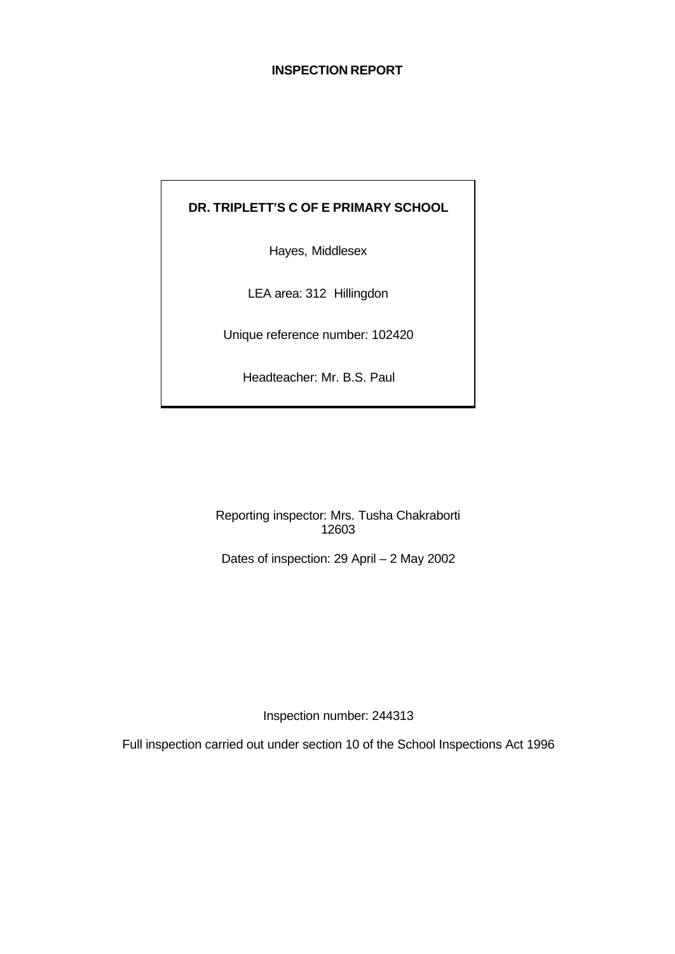#### **INSPECTION REPORT**

# **DR. TRIPLETT'S C OF E PRIMARY SCHOOL**

Hayes, Middlesex

LEA area: 312 Hillingdon

Unique reference number: 102420

Headteacher: Mr. B.S. Paul

Reporting inspector: Mrs. Tusha Chakraborti 12603

Dates of inspection: 29 April – 2 May 2002

Inspection number: 244313

Full inspection carried out under section 10 of the School Inspections Act 1996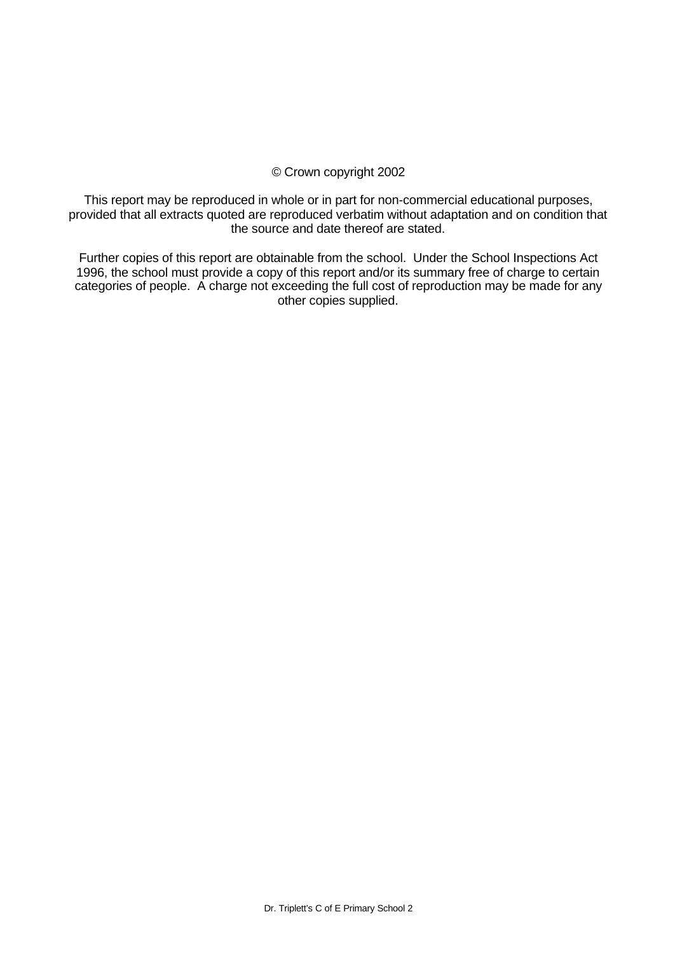#### © Crown copyright 2002

This report may be reproduced in whole or in part for non-commercial educational purposes, provided that all extracts quoted are reproduced verbatim without adaptation and on condition that the source and date thereof are stated.

Further copies of this report are obtainable from the school. Under the School Inspections Act 1996, the school must provide a copy of this report and/or its summary free of charge to certain categories of people. A charge not exceeding the full cost of reproduction may be made for any other copies supplied.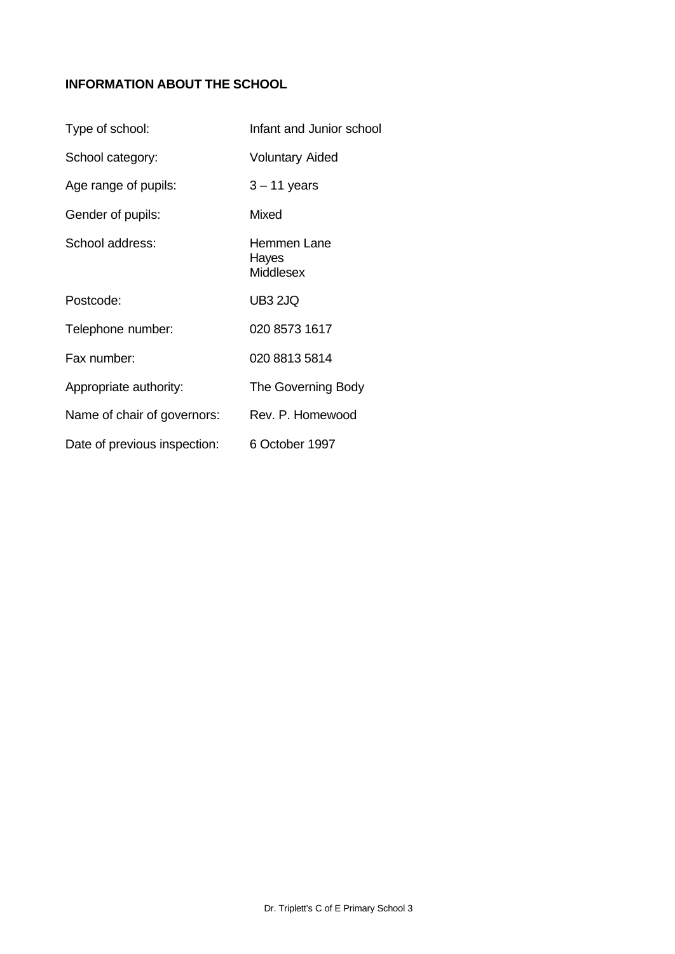# **INFORMATION ABOUT THE SCHOOL**

| Type of school:              | Infant and Junior school          |
|------------------------------|-----------------------------------|
| School category:             | <b>Voluntary Aided</b>            |
| Age range of pupils:         | $3 - 11$ years                    |
| Gender of pupils:            | Mixed                             |
| School address:              | Hemmen Lane<br>Hayes<br>Middlesex |
| Postcode:                    | <b>UB3 2JQ</b>                    |
| Telephone number:            | 020 8573 1617                     |
| Fax number:                  | 020 8813 5814                     |
| Appropriate authority:       | The Governing Body                |
| Name of chair of governors:  | Rev. P. Homewood                  |
| Date of previous inspection: | 6 October 1997                    |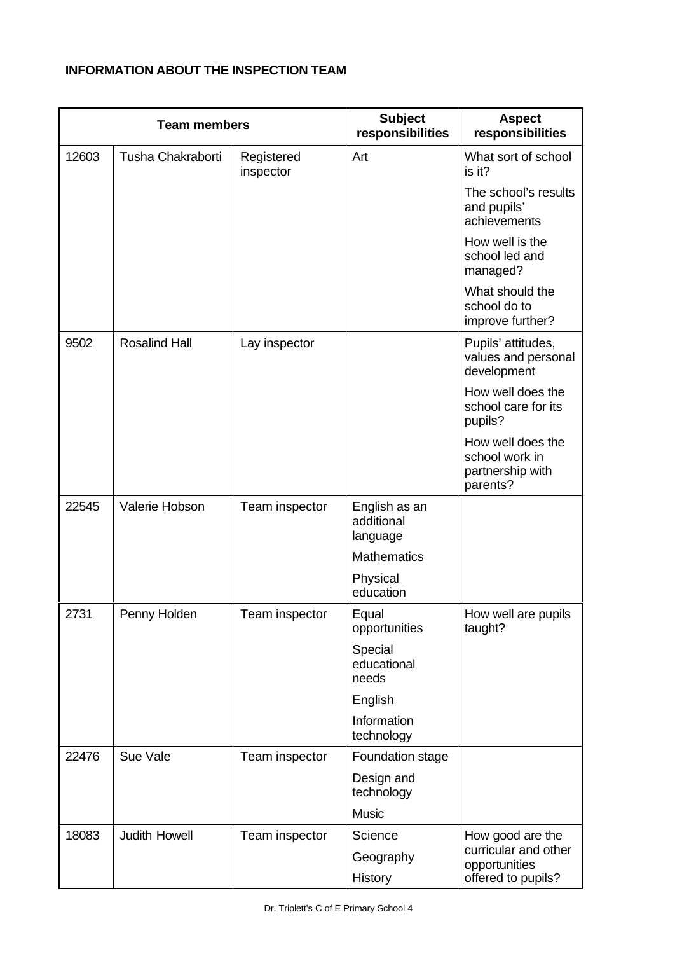# **INFORMATION ABOUT THE INSPECTION TEAM**

| <b>Team members</b> |                      | <b>Subject</b><br>responsibilities | <b>Aspect</b><br>responsibilities       |                                                                     |
|---------------------|----------------------|------------------------------------|-----------------------------------------|---------------------------------------------------------------------|
| 12603               | Tusha Chakraborti    | Registered<br>inspector            | Art                                     | What sort of school<br>is it?                                       |
|                     |                      |                                    |                                         | The school's results<br>and pupils'<br>achievements                 |
|                     |                      |                                    |                                         | How well is the<br>school led and<br>managed?                       |
|                     |                      |                                    |                                         | What should the<br>school do to<br>improve further?                 |
| 9502                | <b>Rosalind Hall</b> | Lay inspector                      |                                         | Pupils' attitudes,<br>values and personal<br>development            |
|                     |                      |                                    |                                         | How well does the<br>school care for its<br>pupils?                 |
|                     |                      |                                    |                                         | How well does the<br>school work in<br>partnership with<br>parents? |
| 22545               | Valerie Hobson       | Team inspector                     | English as an<br>additional<br>language |                                                                     |
|                     |                      |                                    | <b>Mathematics</b>                      |                                                                     |
|                     |                      |                                    | Physical<br>education                   |                                                                     |
| 2731                | Penny Holden         | Team inspector                     | Equal<br>opportunities                  | How well are pupils<br>taught?                                      |
|                     |                      |                                    | Special<br>educational<br>needs         |                                                                     |
|                     |                      |                                    | English                                 |                                                                     |
|                     |                      |                                    | Information<br>technology               |                                                                     |
| 22476               | Sue Vale             | Team inspector                     | Foundation stage                        |                                                                     |
|                     |                      |                                    | Design and<br>technology                |                                                                     |
|                     |                      |                                    | <b>Music</b>                            |                                                                     |
| 18083               | <b>Judith Howell</b> | Team inspector                     | Science                                 | How good are the<br>curricular and other                            |
|                     |                      |                                    | Geography<br>History                    | opportunities<br>offered to pupils?                                 |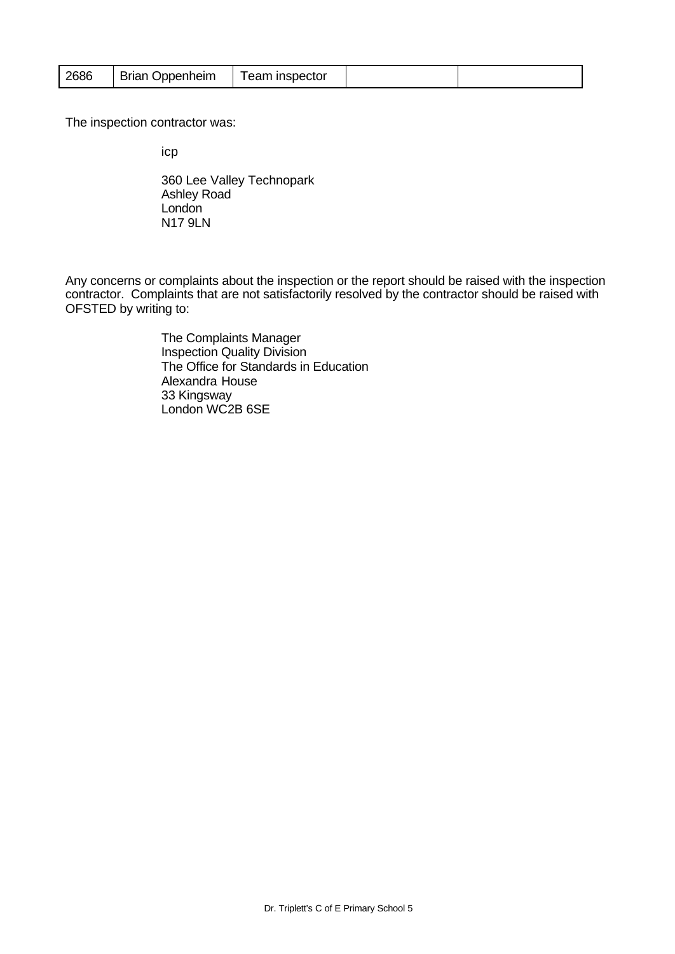| 2686 | <b>Brian Oppenheim</b> | Team inspector |  |  |
|------|------------------------|----------------|--|--|
|------|------------------------|----------------|--|--|

The inspection contractor was:

icp

360 Lee Valley Technopark Ashley Road **London** N17 9LN

Any concerns or complaints about the inspection or the report should be raised with the inspection contractor. Complaints that are not satisfactorily resolved by the contractor should be raised with OFSTED by writing to:

> The Complaints Manager Inspection Quality Division The Office for Standards in Education Alexandra House 33 Kingsway London WC2B 6SE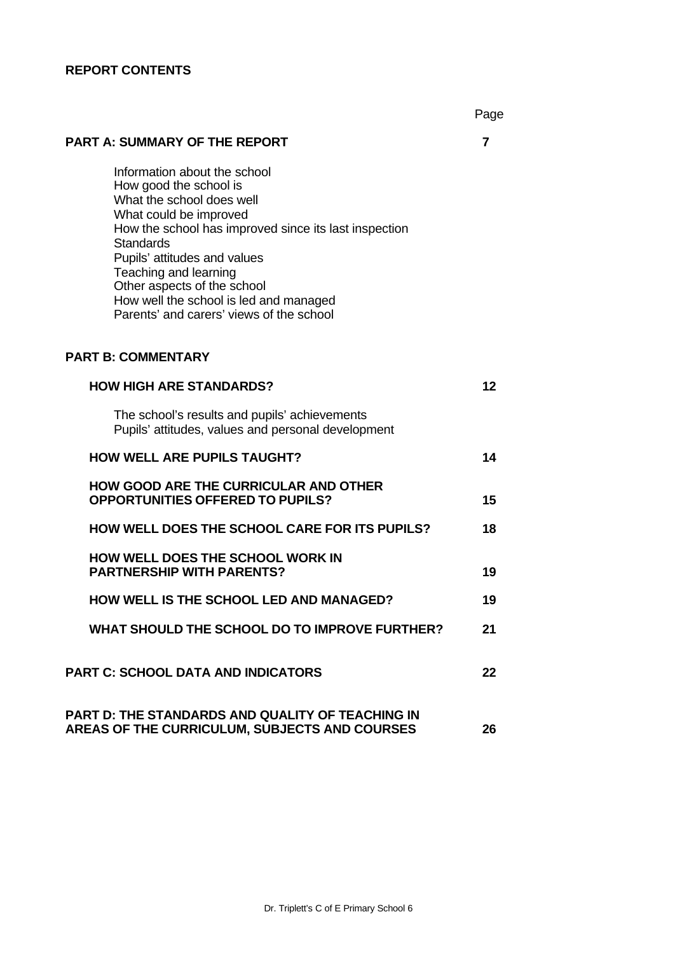# **REPORT CONTENTS**

|                                                                                                                                                                                                                                                                                                                                                                          | Page |
|--------------------------------------------------------------------------------------------------------------------------------------------------------------------------------------------------------------------------------------------------------------------------------------------------------------------------------------------------------------------------|------|
| <b>PART A: SUMMARY OF THE REPORT</b>                                                                                                                                                                                                                                                                                                                                     | 7    |
| Information about the school<br>How good the school is<br>What the school does well<br>What could be improved<br>How the school has improved since its last inspection<br><b>Standards</b><br>Pupils' attitudes and values<br>Teaching and learning<br>Other aspects of the school<br>How well the school is led and managed<br>Parents' and carers' views of the school |      |
| <b>PART B: COMMENTARY</b>                                                                                                                                                                                                                                                                                                                                                |      |
| <b>HOW HIGH ARE STANDARDS?</b>                                                                                                                                                                                                                                                                                                                                           | 12   |
| The school's results and pupils' achievements<br>Pupils' attitudes, values and personal development                                                                                                                                                                                                                                                                      |      |
| <b>HOW WELL ARE PUPILS TAUGHT?</b>                                                                                                                                                                                                                                                                                                                                       | 14   |
| <b>HOW GOOD ARE THE CURRICULAR AND OTHER</b><br><b>OPPORTUNITIES OFFERED TO PUPILS?</b>                                                                                                                                                                                                                                                                                  | 15   |
| <b>HOW WELL DOES THE SCHOOL CARE FOR ITS PUPILS?</b>                                                                                                                                                                                                                                                                                                                     | 18   |
| <b>HOW WELL DOES THE SCHOOL WORK IN</b><br><b>PARTNERSHIP WITH PARENTS?</b>                                                                                                                                                                                                                                                                                              | 19   |
| <b>HOW WELL IS THE SCHOOL LED AND MANAGED?</b>                                                                                                                                                                                                                                                                                                                           | 19   |
| WHAT SHOULD THE SCHOOL DO TO IMPROVE FURTHER?                                                                                                                                                                                                                                                                                                                            | 21   |
| <b>PART C: SCHOOL DATA AND INDICATORS</b>                                                                                                                                                                                                                                                                                                                                | 22   |
| <b>PART D: THE STANDARDS AND QUALITY OF TEACHING IN</b><br>AREAS OF THE CURRICULUM, SUBJECTS AND COURSES                                                                                                                                                                                                                                                                 | 26   |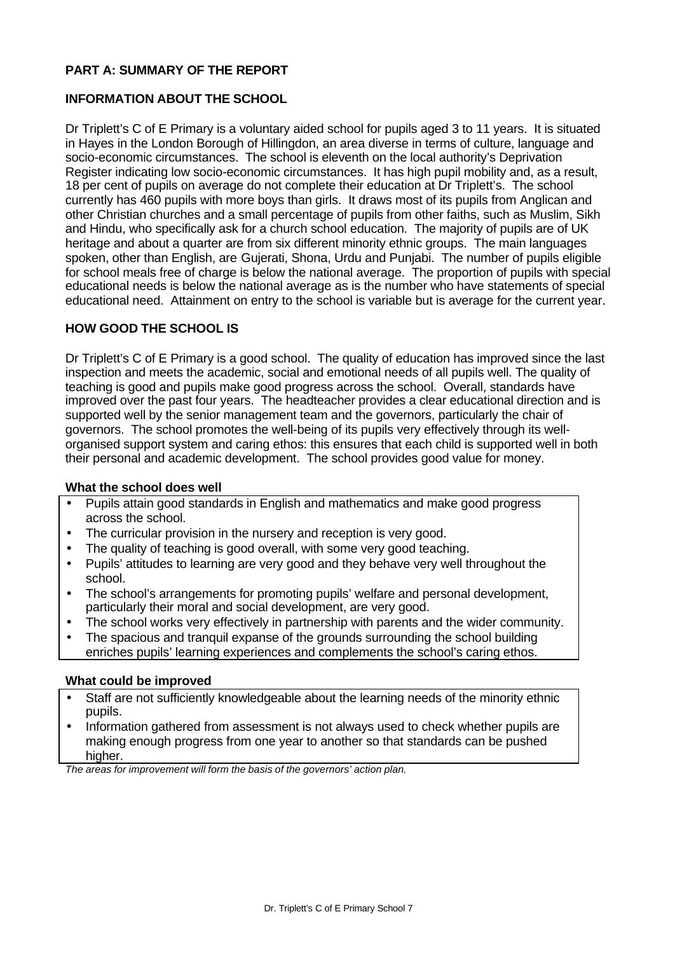#### **PART A: SUMMARY OF THE REPORT**

#### **INFORMATION ABOUT THE SCHOOL**

Dr Triplett's C of E Primary is a voluntary aided school for pupils aged 3 to 11 years. It is situated in Hayes in the London Borough of Hillingdon, an area diverse in terms of culture, language and socio-economic circumstances. The school is eleventh on the local authority's Deprivation Register indicating low socio-economic circumstances. It has high pupil mobility and, as a result, 18 per cent of pupils on average do not complete their education at Dr Triplett's. The school currently has 460 pupils with more boys than girls. It draws most of its pupils from Anglican and other Christian churches and a small percentage of pupils from other faiths, such as Muslim, Sikh and Hindu, who specifically ask for a church school education. The majority of pupils are of UK heritage and about a quarter are from six different minority ethnic groups. The main languages spoken, other than English, are Gujerati, Shona, Urdu and Punjabi. The number of pupils eligible for school meals free of charge is below the national average. The proportion of pupils with special educational needs is below the national average as is the number who have statements of special educational need. Attainment on entry to the school is variable but is average for the current year.

#### **HOW GOOD THE SCHOOL IS**

Dr Triplett's C of E Primary is a good school. The quality of education has improved since the last inspection and meets the academic, social and emotional needs of all pupils well. The quality of teaching is good and pupils make good progress across the school. Overall, standards have improved over the past four years. The headteacher provides a clear educational direction and is supported well by the senior management team and the governors, particularly the chair of governors. The school promotes the well-being of its pupils very effectively through its wellorganised support system and caring ethos: this ensures that each child is supported well in both their personal and academic development. The school provides good value for money.

#### **What the school does well**

- Pupils attain good standards in English and mathematics and make good progress across the school.
- The curricular provision in the nursery and reception is very good.
- The quality of teaching is good overall, with some very good teaching.
- Pupils' attitudes to learning are very good and they behave very well throughout the school.
- The school's arrangements for promoting pupils' welfare and personal development, particularly their moral and social development, are very good.
- The school works very effectively in partnership with parents and the wider community.
- The spacious and tranquil expanse of the grounds surrounding the school building enriches pupils' learning experiences and complements the school's caring ethos.

#### **What could be improved**

- Staff are not sufficiently knowledgeable about the learning needs of the minority ethnic pupils.
- Information gathered from assessment is not always used to check whether pupils are making enough progress from one year to another so that standards can be pushed higher.

*The areas for improvement will form the basis of the governors' action plan.*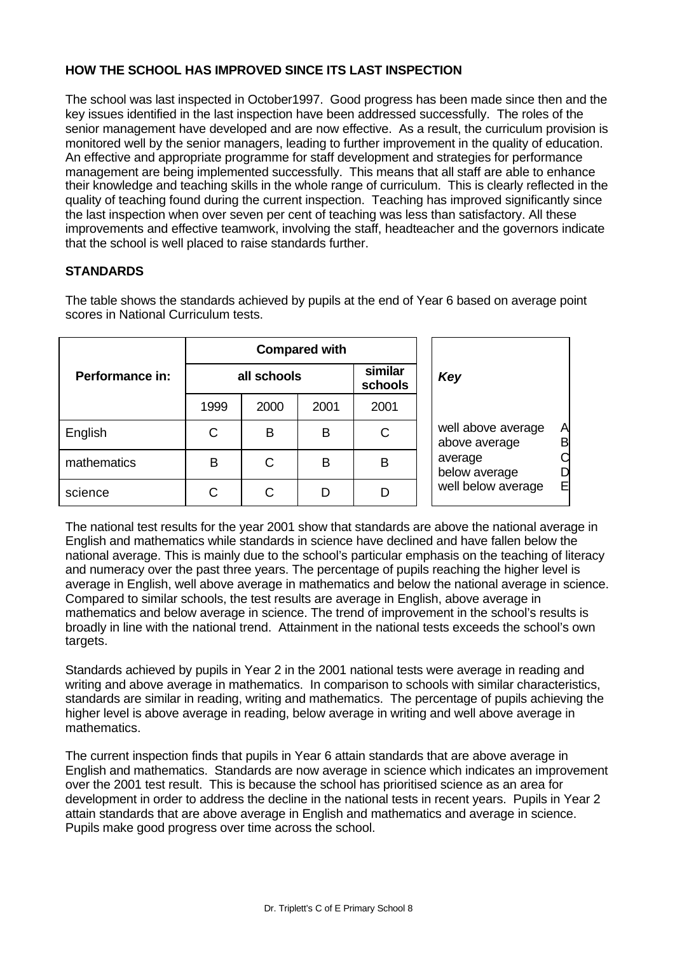#### **HOW THE SCHOOL HAS IMPROVED SINCE ITS LAST INSPECTION**

The school was last inspected in October1997. Good progress has been made since then and the key issues identified in the last inspection have been addressed successfully. The roles of the senior management have developed and are now effective. As a result, the curriculum provision is monitored well by the senior managers, leading to further improvement in the quality of education. An effective and appropriate programme for staff development and strategies for performance management are being implemented successfully. This means that all staff are able to enhance their knowledge and teaching skills in the whole range of curriculum. This is clearly reflected in the quality of teaching found during the current inspection. Teaching has improved significantly since the last inspection when over seven per cent of teaching was less than satisfactory. All these improvements and effective teamwork, involving the staff, headteacher and the governors indicate that the school is well placed to raise standards further.

## **STANDARDS**

The table shows the standards achieved by pupils at the end of Year 6 based on average point scores in National Curriculum tests.

|                 |             | <b>Compared with</b> |      |                    |                                               |
|-----------------|-------------|----------------------|------|--------------------|-----------------------------------------------|
| Performance in: | all schools |                      |      | similar<br>schools | Key                                           |
|                 | 1999        | 2000                 | 2001 | 2001               |                                               |
| English         | С           | B                    | B    | C                  | well above average<br>A<br>B<br>above average |
| mathematics     | В           | C                    | B    | B                  | average<br>below average<br>D                 |
| science         | С           | С                    | D    |                    | well below average<br>E                       |

The national test results for the year 2001 show that standards are above the national average in English and mathematics while standards in science have declined and have fallen below the national average. This is mainly due to the school's particular emphasis on the teaching of literacy and numeracy over the past three years. The percentage of pupils reaching the higher level is average in English, well above average in mathematics and below the national average in science. Compared to similar schools, the test results are average in English, above average in mathematics and below average in science. The trend of improvement in the school's results is broadly in line with the national trend. Attainment in the national tests exceeds the school's own targets.

Standards achieved by pupils in Year 2 in the 2001 national tests were average in reading and writing and above average in mathematics. In comparison to schools with similar characteristics, standards are similar in reading, writing and mathematics. The percentage of pupils achieving the higher level is above average in reading, below average in writing and well above average in mathematics.

The current inspection finds that pupils in Year 6 attain standards that are above average in English and mathematics. Standards are now average in science which indicates an improvement over the 2001 test result. This is because the school has prioritised science as an area for development in order to address the decline in the national tests in recent years. Pupils in Year 2 attain standards that are above average in English and mathematics and average in science. Pupils make good progress over time across the school.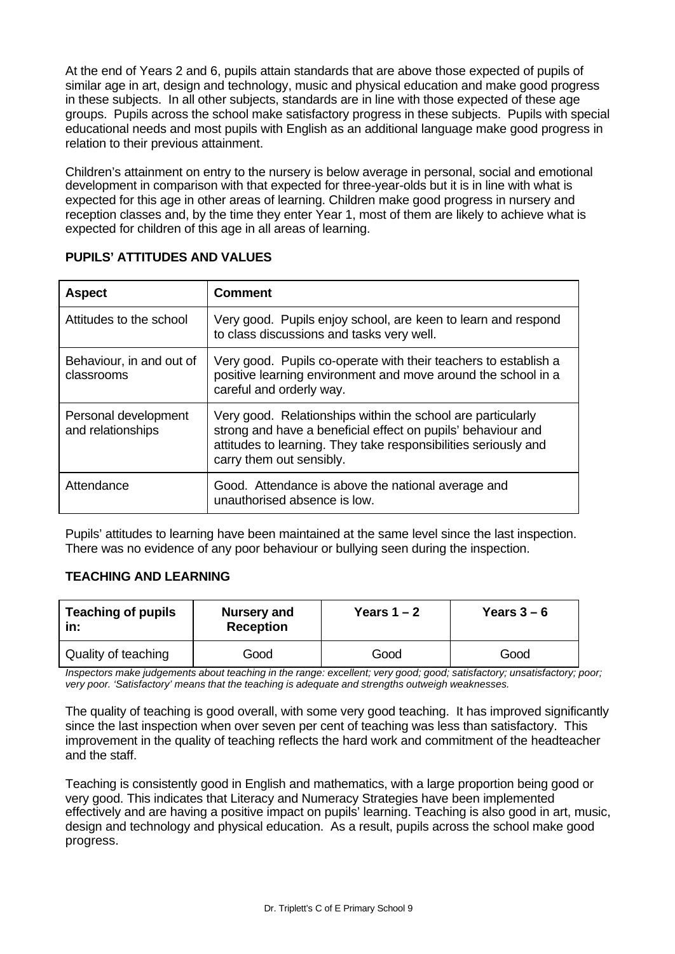At the end of Years 2 and 6, pupils attain standards that are above those expected of pupils of similar age in art, design and technology, music and physical education and make good progress in these subjects. In all other subjects, standards are in line with those expected of these age groups. Pupils across the school make satisfactory progress in these subjects. Pupils with special educational needs and most pupils with English as an additional language make good progress in relation to their previous attainment.

Children's attainment on entry to the nursery is below average in personal, social and emotional development in comparison with that expected for three-year-olds but it is in line with what is expected for this age in other areas of learning. Children make good progress in nursery and reception classes and, by the time they enter Year 1, most of them are likely to achieve what is expected for children of this age in all areas of learning.

| <b>Aspect</b>                             | <b>Comment</b>                                                                                                                                                                                                             |
|-------------------------------------------|----------------------------------------------------------------------------------------------------------------------------------------------------------------------------------------------------------------------------|
| Attitudes to the school                   | Very good. Pupils enjoy school, are keen to learn and respond<br>to class discussions and tasks very well.                                                                                                                 |
| Behaviour, in and out of<br>classrooms    | Very good. Pupils co-operate with their teachers to establish a<br>positive learning environment and move around the school in a<br>careful and orderly way.                                                               |
| Personal development<br>and relationships | Very good. Relationships within the school are particularly<br>strong and have a beneficial effect on pupils' behaviour and<br>attitudes to learning. They take responsibilities seriously and<br>carry them out sensibly. |
| Attendance                                | Good. Attendance is above the national average and<br>unauthorised absence is low.                                                                                                                                         |

## **PUPILS' ATTITUDES AND VALUES**

Pupils' attitudes to learning have been maintained at the same level since the last inspection. There was no evidence of any poor behaviour or bullying seen during the inspection.

## **TEACHING AND LEARNING**

| <b>Teaching of pupils</b><br>in: | Nursery and<br><b>Reception</b> | Years $1 - 2$ | Years $3-6$ |
|----------------------------------|---------------------------------|---------------|-------------|
| Quality of teaching              | Good                            | Good          | Good        |

*Inspectors make judgements about teaching in the range: excellent; very good; good; satisfactory; unsatisfactory; poor; very poor. 'Satisfactory' means that the teaching is adequate and strengths outweigh weaknesses.*

The quality of teaching is good overall, with some very good teaching. It has improved significantly since the last inspection when over seven per cent of teaching was less than satisfactory. This improvement in the quality of teaching reflects the hard work and commitment of the headteacher and the staff.

Teaching is consistently good in English and mathematics, with a large proportion being good or very good. This indicates that Literacy and Numeracy Strategies have been implemented effectively and are having a positive impact on pupils' learning. Teaching is also good in art, music, design and technology and physical education. As a result, pupils across the school make good progress.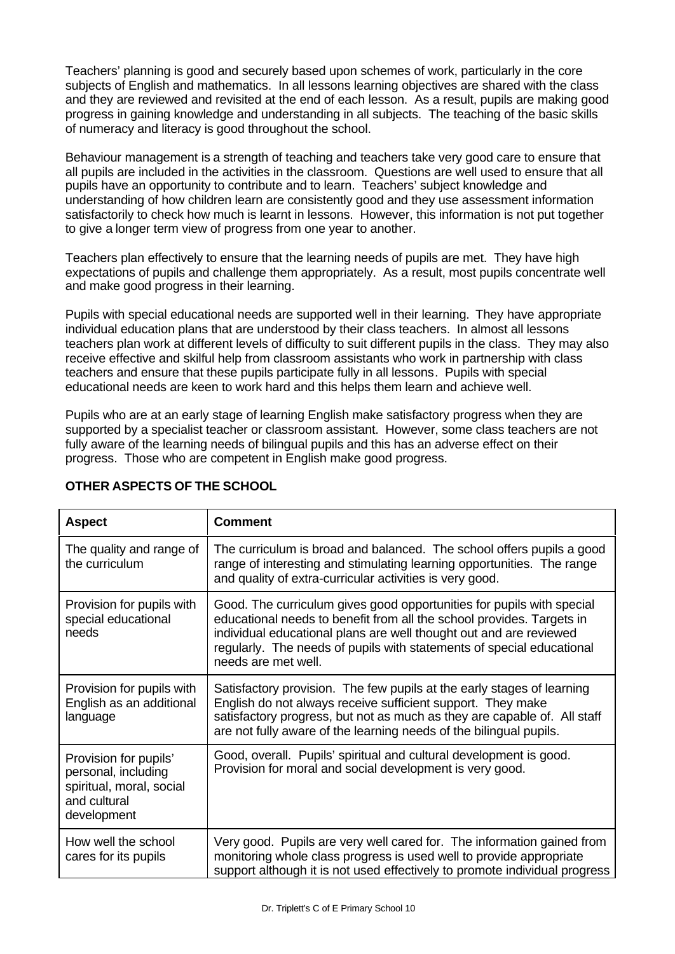Teachers' planning is good and securely based upon schemes of work, particularly in the core subjects of English and mathematics. In all lessons learning objectives are shared with the class and they are reviewed and revisited at the end of each lesson. As a result, pupils are making good progress in gaining knowledge and understanding in all subjects. The teaching of the basic skills of numeracy and literacy is good throughout the school.

Behaviour management is a strength of teaching and teachers take very good care to ensure that all pupils are included in the activities in the classroom. Questions are well used to ensure that all pupils have an opportunity to contribute and to learn. Teachers' subject knowledge and understanding of how children learn are consistently good and they use assessment information satisfactorily to check how much is learnt in lessons. However, this information is not put together to give a longer term view of progress from one year to another.

Teachers plan effectively to ensure that the learning needs of pupils are met. They have high expectations of pupils and challenge them appropriately. As a result, most pupils concentrate well and make good progress in their learning.

Pupils with special educational needs are supported well in their learning. They have appropriate individual education plans that are understood by their class teachers. In almost all lessons teachers plan work at different levels of difficulty to suit different pupils in the class. They may also receive effective and skilful help from classroom assistants who work in partnership with class teachers and ensure that these pupils participate fully in all lessons. Pupils with special educational needs are keen to work hard and this helps them learn and achieve well.

Pupils who are at an early stage of learning English make satisfactory progress when they are supported by a specialist teacher or classroom assistant. However, some class teachers are not fully aware of the learning needs of bilingual pupils and this has an adverse effect on their progress. Those who are competent in English make good progress.

| <b>Aspect</b>                                                                                           | <b>Comment</b>                                                                                                                                                                                                                                                                                                       |
|---------------------------------------------------------------------------------------------------------|----------------------------------------------------------------------------------------------------------------------------------------------------------------------------------------------------------------------------------------------------------------------------------------------------------------------|
| The quality and range of<br>the curriculum                                                              | The curriculum is broad and balanced. The school offers pupils a good<br>range of interesting and stimulating learning opportunities. The range<br>and quality of extra-curricular activities is very good.                                                                                                          |
| Provision for pupils with<br>special educational<br>needs                                               | Good. The curriculum gives good opportunities for pupils with special<br>educational needs to benefit from all the school provides. Targets in<br>individual educational plans are well thought out and are reviewed<br>regularly. The needs of pupils with statements of special educational<br>needs are met well. |
| Provision for pupils with<br>English as an additional<br>language                                       | Satisfactory provision. The few pupils at the early stages of learning<br>English do not always receive sufficient support. They make<br>satisfactory progress, but not as much as they are capable of. All staff<br>are not fully aware of the learning needs of the bilingual pupils.                              |
| Provision for pupils'<br>personal, including<br>spiritual, moral, social<br>and cultural<br>development | Good, overall. Pupils' spiritual and cultural development is good.<br>Provision for moral and social development is very good.                                                                                                                                                                                       |
| How well the school<br>cares for its pupils                                                             | Very good. Pupils are very well cared for. The information gained from<br>monitoring whole class progress is used well to provide appropriate<br>support although it is not used effectively to promote individual progress                                                                                          |

## **OTHER ASPECTS OF THE SCHOOL**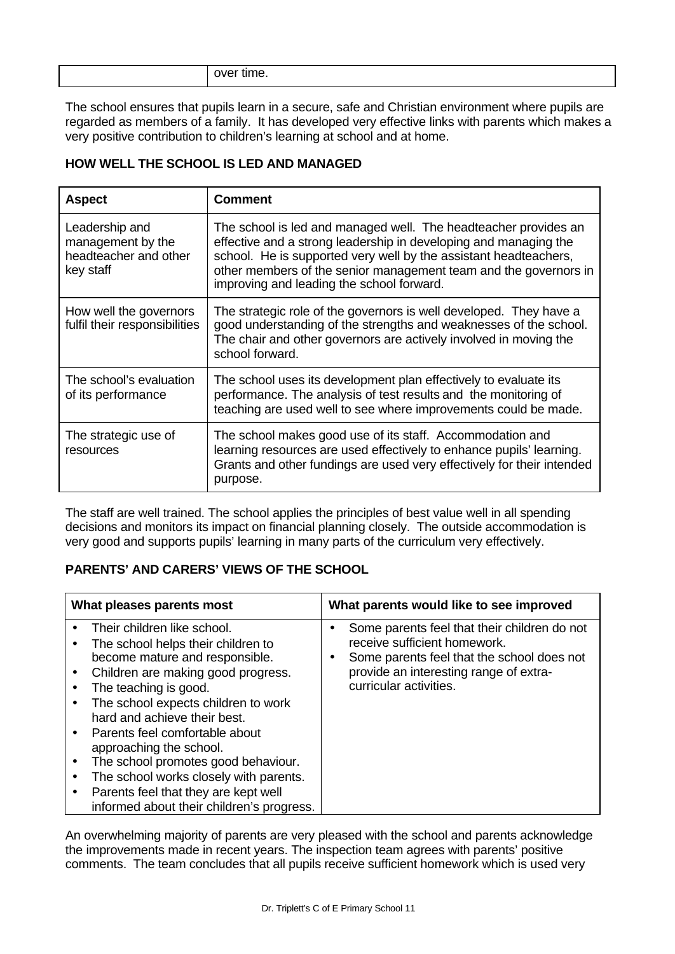| .<br>over time. |
|-----------------|
|-----------------|

The school ensures that pupils learn in a secure, safe and Christian environment where pupils are regarded as members of a family. It has developed very effective links with parents which makes a very positive contribution to children's learning at school and at home.

#### **HOW WELL THE SCHOOL IS LED AND MANAGED**

| <b>Aspect</b>                                                             | <b>Comment</b>                                                                                                                                                                                                                                                                                                           |
|---------------------------------------------------------------------------|--------------------------------------------------------------------------------------------------------------------------------------------------------------------------------------------------------------------------------------------------------------------------------------------------------------------------|
| Leadership and<br>management by the<br>headteacher and other<br>key staff | The school is led and managed well. The headteacher provides an<br>effective and a strong leadership in developing and managing the<br>school. He is supported very well by the assistant headteachers,<br>other members of the senior management team and the governors in<br>improving and leading the school forward. |
| How well the governors<br>fulfil their responsibilities                   | The strategic role of the governors is well developed. They have a<br>good understanding of the strengths and weaknesses of the school.<br>The chair and other governors are actively involved in moving the<br>school forward.                                                                                          |
| The school's evaluation<br>of its performance                             | The school uses its development plan effectively to evaluate its<br>performance. The analysis of test results and the monitoring of<br>teaching are used well to see where improvements could be made.                                                                                                                   |
| The strategic use of<br>resources                                         | The school makes good use of its staff. Accommodation and<br>learning resources are used effectively to enhance pupils' learning.<br>Grants and other fundings are used very effectively for their intended<br>purpose.                                                                                                  |

The staff are well trained. The school applies the principles of best value well in all spending decisions and monitors its impact on financial planning closely. The outside accommodation is very good and supports pupils' learning in many parts of the curriculum very effectively.

## **PARENTS' AND CARERS' VIEWS OF THE SCHOOL**

| What pleases parents most                                                                                                                                                                                                                                                                                                                                                                                                                                                                                                                     | What parents would like to see improved                                                                                                                                                                                  |
|-----------------------------------------------------------------------------------------------------------------------------------------------------------------------------------------------------------------------------------------------------------------------------------------------------------------------------------------------------------------------------------------------------------------------------------------------------------------------------------------------------------------------------------------------|--------------------------------------------------------------------------------------------------------------------------------------------------------------------------------------------------------------------------|
| Their children like school.<br>$\bullet$<br>The school helps their children to<br>become mature and responsible.<br>Children are making good progress.<br>$\bullet$<br>The teaching is good.<br>$\bullet$<br>The school expects children to work<br>hard and achieve their best.<br>Parents feel comfortable about<br>approaching the school.<br>The school promotes good behaviour.<br>$\bullet$<br>The school works closely with parents.<br>$\bullet$<br>Parents feel that they are kept well<br>informed about their children's progress. | Some parents feel that their children do not<br>$\bullet$<br>receive sufficient homework.<br>Some parents feel that the school does not<br>$\bullet$<br>provide an interesting range of extra-<br>curricular activities. |

An overwhelming majority of parents are very pleased with the school and parents acknowledge the improvements made in recent years. The inspection team agrees with parents' positive comments. The team concludes that all pupils receive sufficient homework which is used very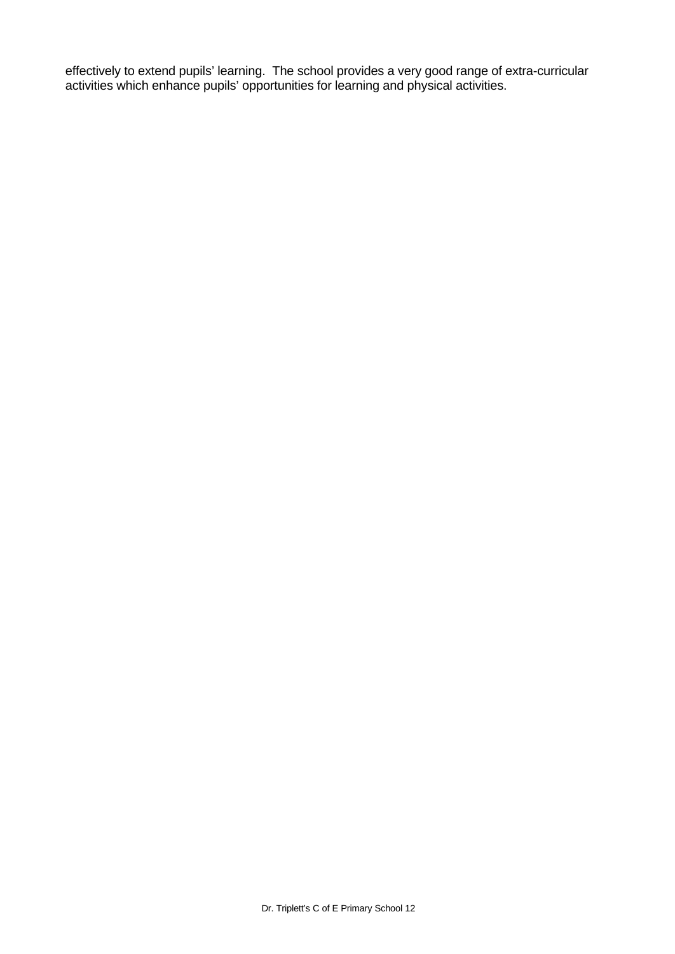effectively to extend pupils' learning. The school provides a very good range of extra-curricular activities which enhance pupils' opportunities for learning and physical activities.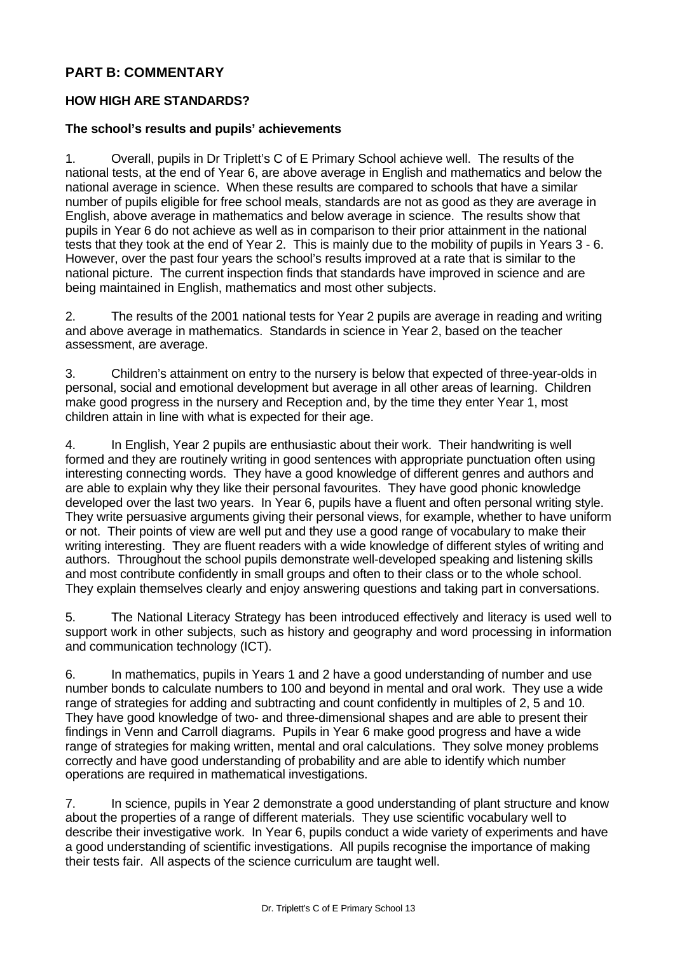## **PART B: COMMENTARY**

## **HOW HIGH ARE STANDARDS?**

#### **The school's results and pupils' achievements**

1. Overall, pupils in Dr Triplett's C of E Primary School achieve well. The results of the national tests, at the end of Year 6, are above average in English and mathematics and below the national average in science. When these results are compared to schools that have a similar number of pupils eligible for free school meals, standards are not as good as they are average in English, above average in mathematics and below average in science. The results show that pupils in Year 6 do not achieve as well as in comparison to their prior attainment in the national tests that they took at the end of Year 2. This is mainly due to the mobility of pupils in Years 3 - 6. However, over the past four years the school's results improved at a rate that is similar to the national picture. The current inspection finds that standards have improved in science and are being maintained in English, mathematics and most other subjects.

2. The results of the 2001 national tests for Year 2 pupils are average in reading and writing and above average in mathematics. Standards in science in Year 2, based on the teacher assessment, are average.

3. Children's attainment on entry to the nursery is below that expected of three-year-olds in personal, social and emotional development but average in all other areas of learning. Children make good progress in the nursery and Reception and, by the time they enter Year 1, most children attain in line with what is expected for their age.

4. In English, Year 2 pupils are enthusiastic about their work. Their handwriting is well formed and they are routinely writing in good sentences with appropriate punctuation often using interesting connecting words. They have a good knowledge of different genres and authors and are able to explain why they like their personal favourites. They have good phonic knowledge developed over the last two years. In Year 6, pupils have a fluent and often personal writing style. They write persuasive arguments giving their personal views, for example, whether to have uniform or not. Their points of view are well put and they use a good range of vocabulary to make their writing interesting. They are fluent readers with a wide knowledge of different styles of writing and authors. Throughout the school pupils demonstrate well-developed speaking and listening skills and most contribute confidently in small groups and often to their class or to the whole school. They explain themselves clearly and enjoy answering questions and taking part in conversations.

5. The National Literacy Strategy has been introduced effectively and literacy is used well to support work in other subjects, such as history and geography and word processing in information and communication technology (ICT).

6. In mathematics, pupils in Years 1 and 2 have a good understanding of number and use number bonds to calculate numbers to 100 and beyond in mental and oral work. They use a wide range of strategies for adding and subtracting and count confidently in multiples of 2, 5 and 10. They have good knowledge of two- and three-dimensional shapes and are able to present their findings in Venn and Carroll diagrams. Pupils in Year 6 make good progress and have a wide range of strategies for making written, mental and oral calculations. They solve money problems correctly and have good understanding of probability and are able to identify which number operations are required in mathematical investigations.

7. In science, pupils in Year 2 demonstrate a good understanding of plant structure and know about the properties of a range of different materials. They use scientific vocabulary well to describe their investigative work. In Year 6, pupils conduct a wide variety of experiments and have a good understanding of scientific investigations. All pupils recognise the importance of making their tests fair. All aspects of the science curriculum are taught well.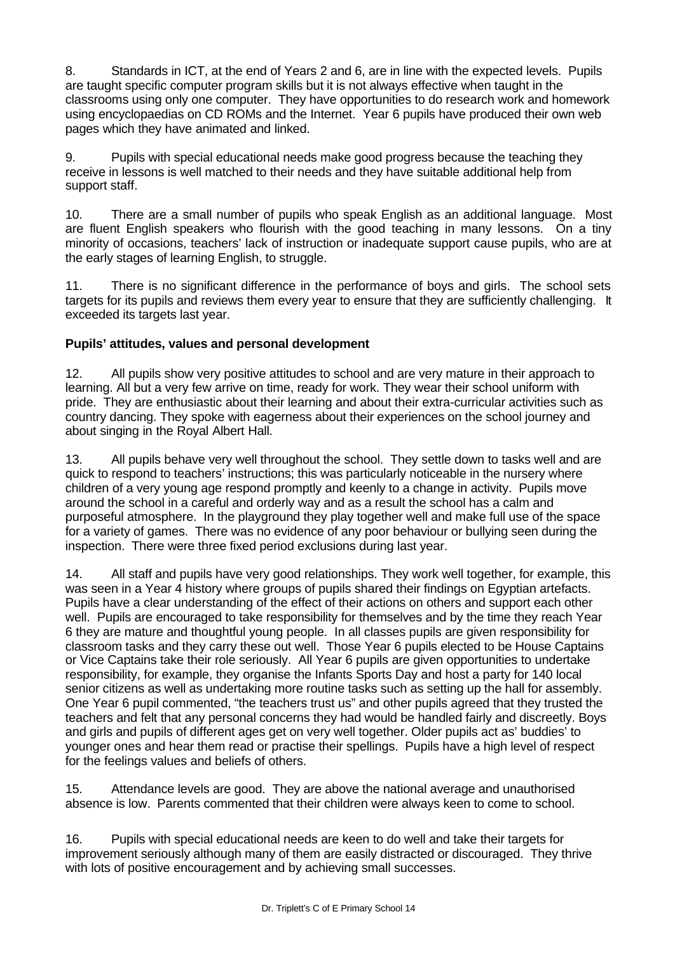8. Standards in ICT, at the end of Years 2 and 6, are in line with the expected levels. Pupils are taught specific computer program skills but it is not always effective when taught in the classrooms using only one computer. They have opportunities to do research work and homework using encyclopaedias on CD ROMs and the Internet. Year 6 pupils have produced their own web pages which they have animated and linked.

9. Pupils with special educational needs make good progress because the teaching they receive in lessons is well matched to their needs and they have suitable additional help from support staff.

10. There are a small number of pupils who speak English as an additional language. Most are fluent English speakers who flourish with the good teaching in many lessons. On a tiny minority of occasions, teachers' lack of instruction or inadequate support cause pupils, who are at the early stages of learning English, to struggle.

11. There is no significant difference in the performance of boys and girls. The school sets targets for its pupils and reviews them every year to ensure that they are sufficiently challenging. It exceeded its targets last year.

## **Pupils' attitudes, values and personal development**

12. All pupils show very positive attitudes to school and are very mature in their approach to learning. All but a very few arrive on time, ready for work. They wear their school uniform with pride. They are enthusiastic about their learning and about their extra-curricular activities such as country dancing. They spoke with eagerness about their experiences on the school journey and about singing in the Royal Albert Hall.

13. All pupils behave very well throughout the school. They settle down to tasks well and are quick to respond to teachers' instructions; this was particularly noticeable in the nursery where children of a very young age respond promptly and keenly to a change in activity. Pupils move around the school in a careful and orderly way and as a result the school has a calm and purposeful atmosphere. In the playground they play together well and make full use of the space for a variety of games. There was no evidence of any poor behaviour or bullying seen during the inspection. There were three fixed period exclusions during last year.

14. All staff and pupils have very good relationships. They work well together, for example, this was seen in a Year 4 history where groups of pupils shared their findings on Egyptian artefacts. Pupils have a clear understanding of the effect of their actions on others and support each other well. Pupils are encouraged to take responsibility for themselves and by the time they reach Year 6 they are mature and thoughtful young people. In all classes pupils are given responsibility for classroom tasks and they carry these out well. Those Year 6 pupils elected to be House Captains or Vice Captains take their role seriously. All Year 6 pupils are given opportunities to undertake responsibility, for example, they organise the Infants Sports Day and host a party for 140 local senior citizens as well as undertaking more routine tasks such as setting up the hall for assembly. One Year 6 pupil commented, "the teachers trust us" and other pupils agreed that they trusted the teachers and felt that any personal concerns they had would be handled fairly and discreetly. Boys and girls and pupils of different ages get on very well together. Older pupils act as' buddies' to younger ones and hear them read or practise their spellings. Pupils have a high level of respect for the feelings values and beliefs of others.

15. Attendance levels are good. They are above the national average and unauthorised absence is low. Parents commented that their children were always keen to come to school.

16. Pupils with special educational needs are keen to do well and take their targets for improvement seriously although many of them are easily distracted or discouraged. They thrive with lots of positive encouragement and by achieving small successes.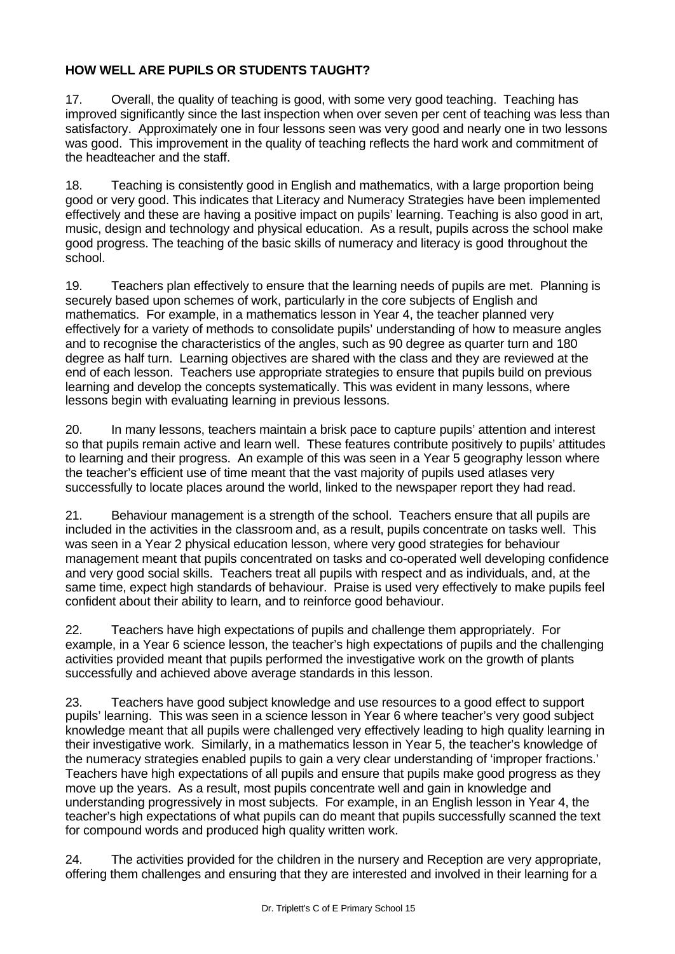# **HOW WELL ARE PUPILS OR STUDENTS TAUGHT?**

17. Overall, the quality of teaching is good, with some very good teaching. Teaching has improved significantly since the last inspection when over seven per cent of teaching was less than satisfactory. Approximately one in four lessons seen was very good and nearly one in two lessons was good. This improvement in the quality of teaching reflects the hard work and commitment of the headteacher and the staff.

18. Teaching is consistently good in English and mathematics, with a large proportion being good or very good. This indicates that Literacy and Numeracy Strategies have been implemented effectively and these are having a positive impact on pupils' learning. Teaching is also good in art, music, design and technology and physical education. As a result, pupils across the school make good progress. The teaching of the basic skills of numeracy and literacy is good throughout the school.

19. Teachers plan effectively to ensure that the learning needs of pupils are met. Planning is securely based upon schemes of work, particularly in the core subjects of English and mathematics. For example, in a mathematics lesson in Year 4, the teacher planned very effectively for a variety of methods to consolidate pupils' understanding of how to measure angles and to recognise the characteristics of the angles, such as 90 degree as quarter turn and 180 degree as half turn. Learning objectives are shared with the class and they are reviewed at the end of each lesson. Teachers use appropriate strategies to ensure that pupils build on previous learning and develop the concepts systematically. This was evident in many lessons, where lessons begin with evaluating learning in previous lessons.

20. In many lessons, teachers maintain a brisk pace to capture pupils' attention and interest so that pupils remain active and learn well. These features contribute positively to pupils' attitudes to learning and their progress. An example of this was seen in a Year 5 geography lesson where the teacher's efficient use of time meant that the vast majority of pupils used atlases very successfully to locate places around the world, linked to the newspaper report they had read.

21. Behaviour management is a strength of the school. Teachers ensure that all pupils are included in the activities in the classroom and, as a result, pupils concentrate on tasks well. This was seen in a Year 2 physical education lesson, where very good strategies for behaviour management meant that pupils concentrated on tasks and co-operated well developing confidence and very good social skills. Teachers treat all pupils with respect and as individuals, and, at the same time, expect high standards of behaviour. Praise is used very effectively to make pupils feel confident about their ability to learn, and to reinforce good behaviour.

22. Teachers have high expectations of pupils and challenge them appropriately. For example, in a Year 6 science lesson, the teacher's high expectations of pupils and the challenging activities provided meant that pupils performed the investigative work on the growth of plants successfully and achieved above average standards in this lesson.

23. Teachers have good subject knowledge and use resources to a good effect to support pupils' learning. This was seen in a science lesson in Year 6 where teacher's very good subject knowledge meant that all pupils were challenged very effectively leading to high quality learning in their investigative work. Similarly, in a mathematics lesson in Year 5, the teacher's knowledge of the numeracy strategies enabled pupils to gain a very clear understanding of 'improper fractions.' Teachers have high expectations of all pupils and ensure that pupils make good progress as they move up the years. As a result, most pupils concentrate well and gain in knowledge and understanding progressively in most subjects. For example, in an English lesson in Year 4, the teacher's high expectations of what pupils can do meant that pupils successfully scanned the text for compound words and produced high quality written work.

24. The activities provided for the children in the nursery and Reception are very appropriate, offering them challenges and ensuring that they are interested and involved in their learning for a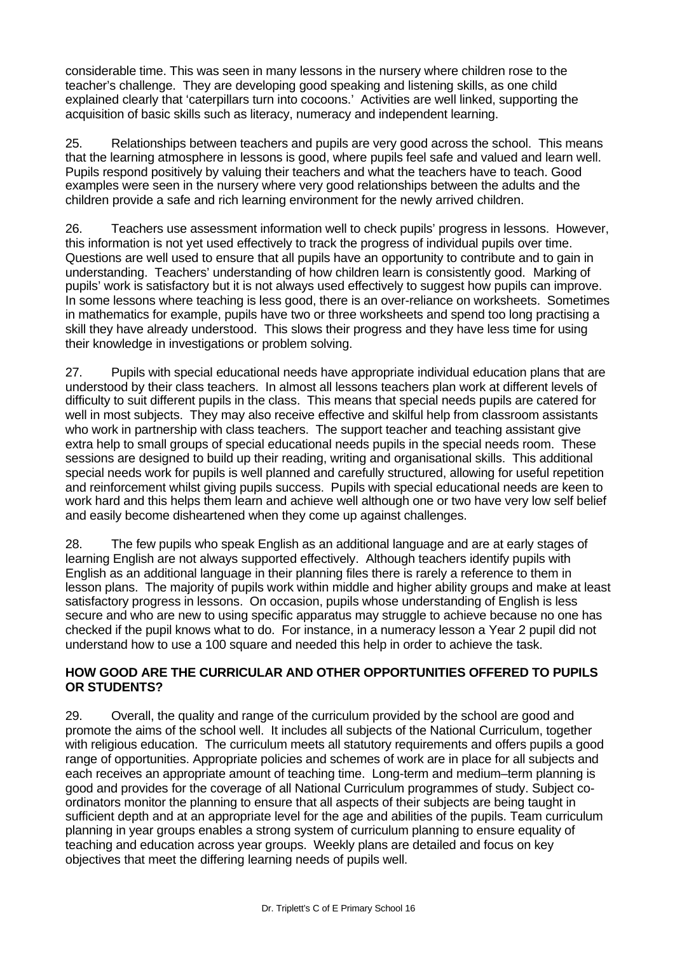considerable time. This was seen in many lessons in the nursery where children rose to the teacher's challenge. They are developing good speaking and listening skills, as one child explained clearly that 'caterpillars turn into cocoons.' Activities are well linked, supporting the acquisition of basic skills such as literacy, numeracy and independent learning.

25. Relationships between teachers and pupils are very good across the school. This means that the learning atmosphere in lessons is good, where pupils feel safe and valued and learn well. Pupils respond positively by valuing their teachers and what the teachers have to teach. Good examples were seen in the nursery where very good relationships between the adults and the children provide a safe and rich learning environment for the newly arrived children.

26. Teachers use assessment information well to check pupils' progress in lessons. However, this information is not yet used effectively to track the progress of individual pupils over time. Questions are well used to ensure that all pupils have an opportunity to contribute and to gain in understanding. Teachers' understanding of how children learn is consistently good. Marking of pupils' work is satisfactory but it is not always used effectively to suggest how pupils can improve. In some lessons where teaching is less good, there is an over-reliance on worksheets. Sometimes in mathematics for example, pupils have two or three worksheets and spend too long practising a skill they have already understood. This slows their progress and they have less time for using their knowledge in investigations or problem solving.

27. Pupils with special educational needs have appropriate individual education plans that are understood by their class teachers. In almost all lessons teachers plan work at different levels of difficulty to suit different pupils in the class. This means that special needs pupils are catered for well in most subjects. They may also receive effective and skilful help from classroom assistants who work in partnership with class teachers. The support teacher and teaching assistant give extra help to small groups of special educational needs pupils in the special needs room. These sessions are designed to build up their reading, writing and organisational skills. This additional special needs work for pupils is well planned and carefully structured, allowing for useful repetition and reinforcement whilst giving pupils success. Pupils with special educational needs are keen to work hard and this helps them learn and achieve well although one or two have very low self belief and easily become disheartened when they come up against challenges.

28. The few pupils who speak English as an additional language and are at early stages of learning English are not always supported effectively. Although teachers identify pupils with English as an additional language in their planning files there is rarely a reference to them in lesson plans. The majority of pupils work within middle and higher ability groups and make at least satisfactory progress in lessons. On occasion, pupils whose understanding of English is less secure and who are new to using specific apparatus may struggle to achieve because no one has checked if the pupil knows what to do. For instance, in a numeracy lesson a Year 2 pupil did not understand how to use a 100 square and needed this help in order to achieve the task.

#### **HOW GOOD ARE THE CURRICULAR AND OTHER OPPORTUNITIES OFFERED TO PUPILS OR STUDENTS?**

29. Overall, the quality and range of the curriculum provided by the school are good and promote the aims of the school well. It includes all subjects of the National Curriculum, together with religious education. The curriculum meets all statutory requirements and offers pupils a good range of opportunities. Appropriate policies and schemes of work are in place for all subjects and each receives an appropriate amount of teaching time. Long-term and medium–term planning is good and provides for the coverage of all National Curriculum programmes of study. Subject coordinators monitor the planning to ensure that all aspects of their subjects are being taught in sufficient depth and at an appropriate level for the age and abilities of the pupils. Team curriculum planning in year groups enables a strong system of curriculum planning to ensure equality of teaching and education across year groups. Weekly plans are detailed and focus on key objectives that meet the differing learning needs of pupils well.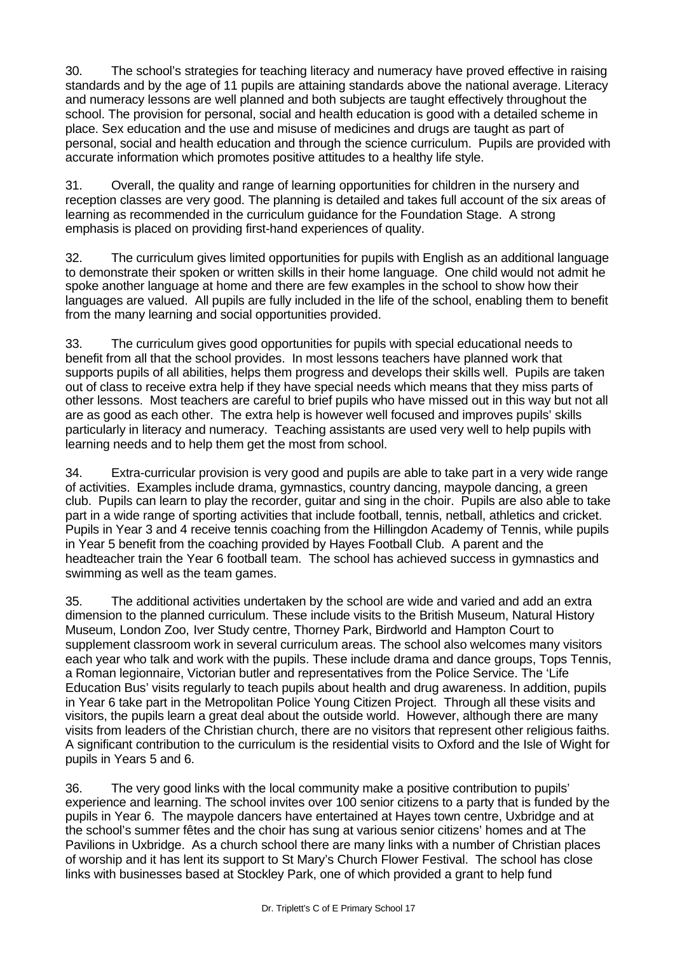30. The school's strategies for teaching literacy and numeracy have proved effective in raising standards and by the age of 11 pupils are attaining standards above the national average. Literacy and numeracy lessons are well planned and both subjects are taught effectively throughout the school. The provision for personal, social and health education is good with a detailed scheme in place. Sex education and the use and misuse of medicines and drugs are taught as part of personal, social and health education and through the science curriculum. Pupils are provided with accurate information which promotes positive attitudes to a healthy life style.

31. Overall, the quality and range of learning opportunities for children in the nursery and reception classes are very good. The planning is detailed and takes full account of the six areas of learning as recommended in the curriculum guidance for the Foundation Stage. A strong emphasis is placed on providing first-hand experiences of quality.

32. The curriculum gives limited opportunities for pupils with English as an additional language to demonstrate their spoken or written skills in their home language. One child would not admit he spoke another language at home and there are few examples in the school to show how their languages are valued. All pupils are fully included in the life of the school, enabling them to benefit from the many learning and social opportunities provided.

33. The curriculum gives good opportunities for pupils with special educational needs to benefit from all that the school provides. In most lessons teachers have planned work that supports pupils of all abilities, helps them progress and develops their skills well. Pupils are taken out of class to receive extra help if they have special needs which means that they miss parts of other lessons. Most teachers are careful to brief pupils who have missed out in this way but not all are as good as each other. The extra help is however well focused and improves pupils' skills particularly in literacy and numeracy. Teaching assistants are used very well to help pupils with learning needs and to help them get the most from school.

34. Extra-curricular provision is very good and pupils are able to take part in a very wide range of activities. Examples include drama, gymnastics, country dancing, maypole dancing, a green club. Pupils can learn to play the recorder, guitar and sing in the choir. Pupils are also able to take part in a wide range of sporting activities that include football, tennis, netball, athletics and cricket. Pupils in Year 3 and 4 receive tennis coaching from the Hillingdon Academy of Tennis, while pupils in Year 5 benefit from the coaching provided by Hayes Football Club. A parent and the headteacher train the Year 6 football team. The school has achieved success in gymnastics and swimming as well as the team games.

35. The additional activities undertaken by the school are wide and varied and add an extra dimension to the planned curriculum. These include visits to the British Museum, Natural History Museum, London Zoo, Iver Study centre, Thorney Park, Birdworld and Hampton Court to supplement classroom work in several curriculum areas. The school also welcomes many visitors each year who talk and work with the pupils. These include drama and dance groups, Tops Tennis, a Roman legionnaire, Victorian butler and representatives from the Police Service. The 'Life Education Bus' visits regularly to teach pupils about health and drug awareness. In addition, pupils in Year 6 take part in the Metropolitan Police Young Citizen Project. Through all these visits and visitors, the pupils learn a great deal about the outside world. However, although there are many visits from leaders of the Christian church, there are no visitors that represent other religious faiths. A significant contribution to the curriculum is the residential visits to Oxford and the Isle of Wight for pupils in Years 5 and 6.

36. The very good links with the local community make a positive contribution to pupils' experience and learning. The school invites over 100 senior citizens to a party that is funded by the pupils in Year 6. The maypole dancers have entertained at Hayes town centre, Uxbridge and at the school's summer fêtes and the choir has sung at various senior citizens' homes and at The Pavilions in Uxbridge. As a church school there are many links with a number of Christian places of worship and it has lent its support to St Mary's Church Flower Festival. The school has close links with businesses based at Stockley Park, one of which provided a grant to help fund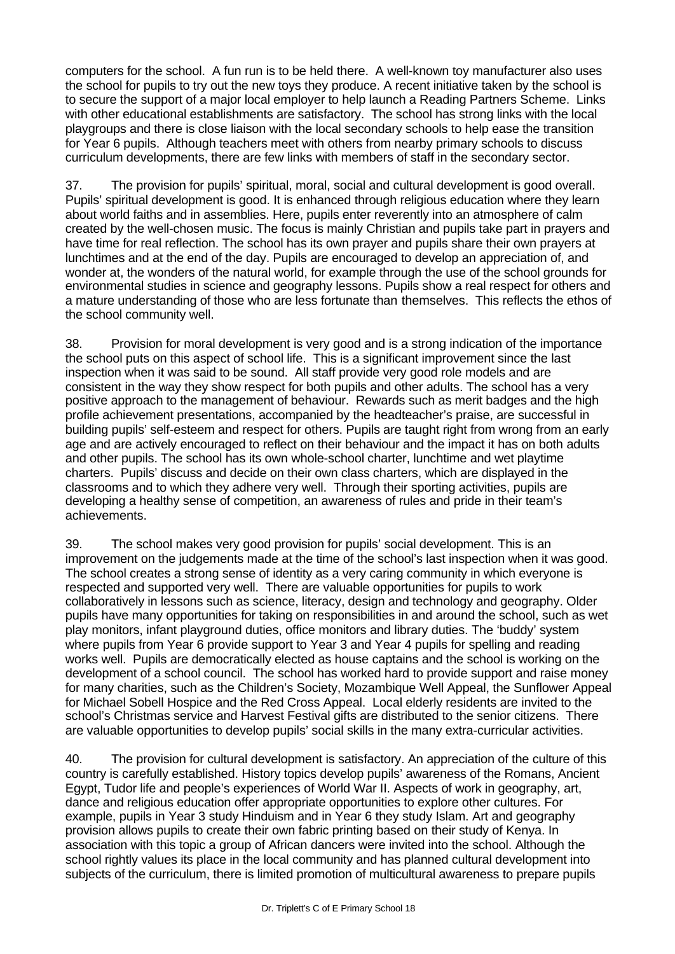computers for the school. A fun run is to be held there. A well-known toy manufacturer also uses the school for pupils to try out the new toys they produce. A recent initiative taken by the school is to secure the support of a major local employer to help launch a Reading Partners Scheme. Links with other educational establishments are satisfactory. The school has strong links with the local playgroups and there is close liaison with the local secondary schools to help ease the transition for Year 6 pupils. Although teachers meet with others from nearby primary schools to discuss curriculum developments, there are few links with members of staff in the secondary sector.

37. The provision for pupils' spiritual, moral, social and cultural development is good overall. Pupils' spiritual development is good. It is enhanced through religious education where they learn about world faiths and in assemblies. Here, pupils enter reverently into an atmosphere of calm created by the well-chosen music. The focus is mainly Christian and pupils take part in prayers and have time for real reflection. The school has its own prayer and pupils share their own prayers at lunchtimes and at the end of the day. Pupils are encouraged to develop an appreciation of, and wonder at, the wonders of the natural world, for example through the use of the school grounds for environmental studies in science and geography lessons. Pupils show a real respect for others and a mature understanding of those who are less fortunate than themselves. This reflects the ethos of the school community well.

38. Provision for moral development is very good and is a strong indication of the importance the school puts on this aspect of school life. This is a significant improvement since the last inspection when it was said to be sound. All staff provide very good role models and are consistent in the way they show respect for both pupils and other adults. The school has a very positive approach to the management of behaviour. Rewards such as merit badges and the high profile achievement presentations, accompanied by the headteacher's praise, are successful in building pupils' self-esteem and respect for others. Pupils are taught right from wrong from an early age and are actively encouraged to reflect on their behaviour and the impact it has on both adults and other pupils. The school has its own whole-school charter, lunchtime and wet playtime charters. Pupils' discuss and decide on their own class charters, which are displayed in the classrooms and to which they adhere very well. Through their sporting activities, pupils are developing a healthy sense of competition, an awareness of rules and pride in their team's achievements.

39. The school makes very good provision for pupils' social development. This is an improvement on the judgements made at the time of the school's last inspection when it was good. The school creates a strong sense of identity as a very caring community in which everyone is respected and supported very well. There are valuable opportunities for pupils to work collaboratively in lessons such as science, literacy, design and technology and geography. Older pupils have many opportunities for taking on responsibilities in and around the school, such as wet play monitors, infant playground duties, office monitors and library duties. The 'buddy' system where pupils from Year 6 provide support to Year 3 and Year 4 pupils for spelling and reading works well. Pupils are democratically elected as house captains and the school is working on the development of a school council. The school has worked hard to provide support and raise money for many charities, such as the Children's Society, Mozambique Well Appeal, the Sunflower Appeal for Michael Sobell Hospice and the Red Cross Appeal. Local elderly residents are invited to the school's Christmas service and Harvest Festival gifts are distributed to the senior citizens. There are valuable opportunities to develop pupils' social skills in the many extra-curricular activities.

40. The provision for cultural development is satisfactory. An appreciation of the culture of this country is carefully established. History topics develop pupils' awareness of the Romans, Ancient Egypt, Tudor life and people's experiences of World War II. Aspects of work in geography, art, dance and religious education offer appropriate opportunities to explore other cultures. For example, pupils in Year 3 study Hinduism and in Year 6 they study Islam. Art and geography provision allows pupils to create their own fabric printing based on their study of Kenya. In association with this topic a group of African dancers were invited into the school. Although the school rightly values its place in the local community and has planned cultural development into subjects of the curriculum, there is limited promotion of multicultural awareness to prepare pupils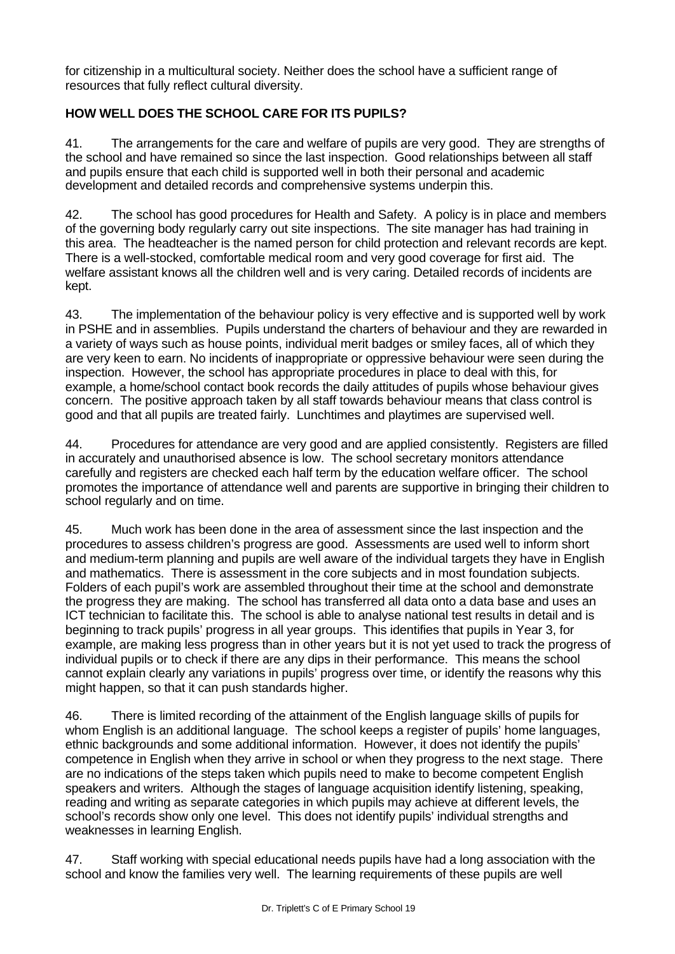for citizenship in a multicultural society. Neither does the school have a sufficient range of resources that fully reflect cultural diversity.

# **HOW WELL DOES THE SCHOOL CARE FOR ITS PUPILS?**

41. The arrangements for the care and welfare of pupils are very good. They are strengths of the school and have remained so since the last inspection. Good relationships between all staff and pupils ensure that each child is supported well in both their personal and academic development and detailed records and comprehensive systems underpin this.

42. The school has good procedures for Health and Safety. A policy is in place and members of the governing body regularly carry out site inspections. The site manager has had training in this area. The headteacher is the named person for child protection and relevant records are kept. There is a well-stocked, comfortable medical room and very good coverage for first aid. The welfare assistant knows all the children well and is very caring. Detailed records of incidents are kept.

43. The implementation of the behaviour policy is very effective and is supported well by work in PSHE and in assemblies. Pupils understand the charters of behaviour and they are rewarded in a variety of ways such as house points, individual merit badges or smiley faces, all of which they are very keen to earn. No incidents of inappropriate or oppressive behaviour were seen during the inspection. However, the school has appropriate procedures in place to deal with this, for example, a home/school contact book records the daily attitudes of pupils whose behaviour gives concern. The positive approach taken by all staff towards behaviour means that class control is good and that all pupils are treated fairly. Lunchtimes and playtimes are supervised well.

44. Procedures for attendance are very good and are applied consistently. Registers are filled in accurately and unauthorised absence is low. The school secretary monitors attendance carefully and registers are checked each half term by the education welfare officer. The school promotes the importance of attendance well and parents are supportive in bringing their children to school regularly and on time.

45. Much work has been done in the area of assessment since the last inspection and the procedures to assess children's progress are good. Assessments are used well to inform short and medium-term planning and pupils are well aware of the individual targets they have in English and mathematics. There is assessment in the core subjects and in most foundation subjects. Folders of each pupil's work are assembled throughout their time at the school and demonstrate the progress they are making. The school has transferred all data onto a data base and uses an ICT technician to facilitate this. The school is able to analyse national test results in detail and is beginning to track pupils' progress in all year groups. This identifies that pupils in Year 3, for example, are making less progress than in other years but it is not yet used to track the progress of individual pupils or to check if there are any dips in their performance. This means the school cannot explain clearly any variations in pupils' progress over time, or identify the reasons why this might happen, so that it can push standards higher.

46. There is limited recording of the attainment of the English language skills of pupils for whom English is an additional language. The school keeps a register of pupils' home languages, ethnic backgrounds and some additional information. However, it does not identify the pupils' competence in English when they arrive in school or when they progress to the next stage. There are no indications of the steps taken which pupils need to make to become competent English speakers and writers. Although the stages of language acquisition identify listening, speaking, reading and writing as separate categories in which pupils may achieve at different levels, the school's records show only one level. This does not identify pupils' individual strengths and weaknesses in learning English.

47. Staff working with special educational needs pupils have had a long association with the school and know the families very well. The learning requirements of these pupils are well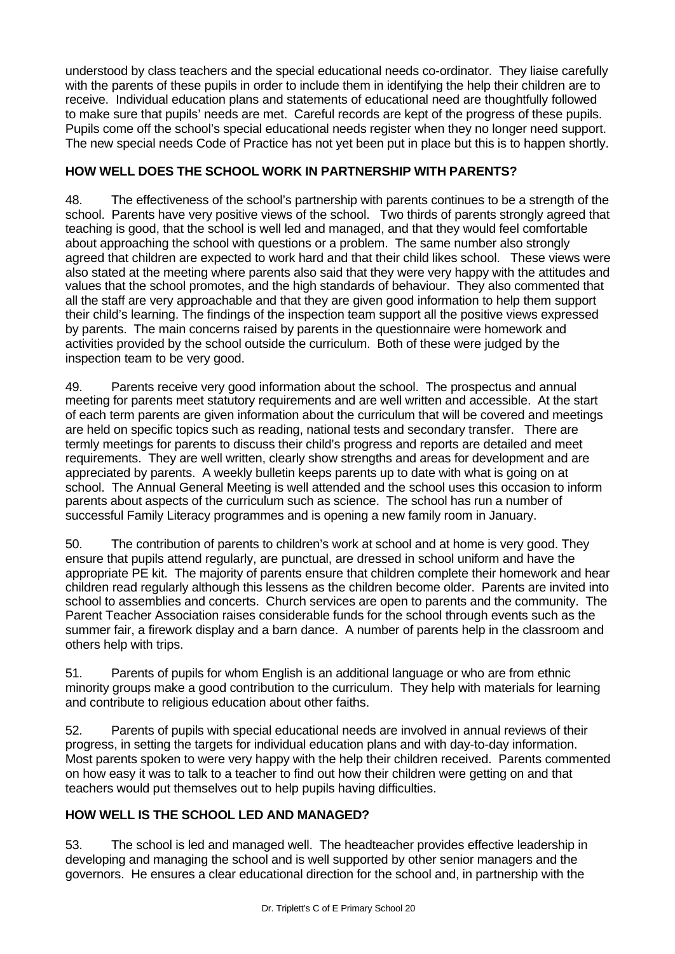understood by class teachers and the special educational needs co-ordinator. They liaise carefully with the parents of these pupils in order to include them in identifying the help their children are to receive. Individual education plans and statements of educational need are thoughtfully followed to make sure that pupils' needs are met. Careful records are kept of the progress of these pupils. Pupils come off the school's special educational needs register when they no longer need support. The new special needs Code of Practice has not yet been put in place but this is to happen shortly.

# **HOW WELL DOES THE SCHOOL WORK IN PARTNERSHIP WITH PARENTS?**

48. The effectiveness of the school's partnership with parents continues to be a strength of the school. Parents have very positive views of the school. Two thirds of parents strongly agreed that teaching is good, that the school is well led and managed, and that they would feel comfortable about approaching the school with questions or a problem. The same number also strongly agreed that children are expected to work hard and that their child likes school. These views were also stated at the meeting where parents also said that they were very happy with the attitudes and values that the school promotes, and the high standards of behaviour. They also commented that all the staff are very approachable and that they are given good information to help them support their child's learning. The findings of the inspection team support all the positive views expressed by parents. The main concerns raised by parents in the questionnaire were homework and activities provided by the school outside the curriculum. Both of these were judged by the inspection team to be very good.

49. Parents receive very good information about the school. The prospectus and annual meeting for parents meet statutory requirements and are well written and accessible. At the start of each term parents are given information about the curriculum that will be covered and meetings are held on specific topics such as reading, national tests and secondary transfer. There are termly meetings for parents to discuss their child's progress and reports are detailed and meet requirements. They are well written, clearly show strengths and areas for development and are appreciated by parents. A weekly bulletin keeps parents up to date with what is going on at school. The Annual General Meeting is well attended and the school uses this occasion to inform parents about aspects of the curriculum such as science. The school has run a number of successful Family Literacy programmes and is opening a new family room in January.

50. The contribution of parents to children's work at school and at home is very good. They ensure that pupils attend regularly, are punctual, are dressed in school uniform and have the appropriate PE kit. The majority of parents ensure that children complete their homework and hear children read regularly although this lessens as the children become older. Parents are invited into school to assemblies and concerts. Church services are open to parents and the community. The Parent Teacher Association raises considerable funds for the school through events such as the summer fair, a firework display and a barn dance. A number of parents help in the classroom and others help with trips.

51. Parents of pupils for whom English is an additional language or who are from ethnic minority groups make a good contribution to the curriculum. They help with materials for learning and contribute to religious education about other faiths.

52. Parents of pupils with special educational needs are involved in annual reviews of their progress, in setting the targets for individual education plans and with day-to-day information. Most parents spoken to were very happy with the help their children received. Parents commented on how easy it was to talk to a teacher to find out how their children were getting on and that teachers would put themselves out to help pupils having difficulties.

# **HOW WELL IS THE SCHOOL LED AND MANAGED?**

53. The school is led and managed well. The headteacher provides effective leadership in developing and managing the school and is well supported by other senior managers and the governors. He ensures a clear educational direction for the school and, in partnership with the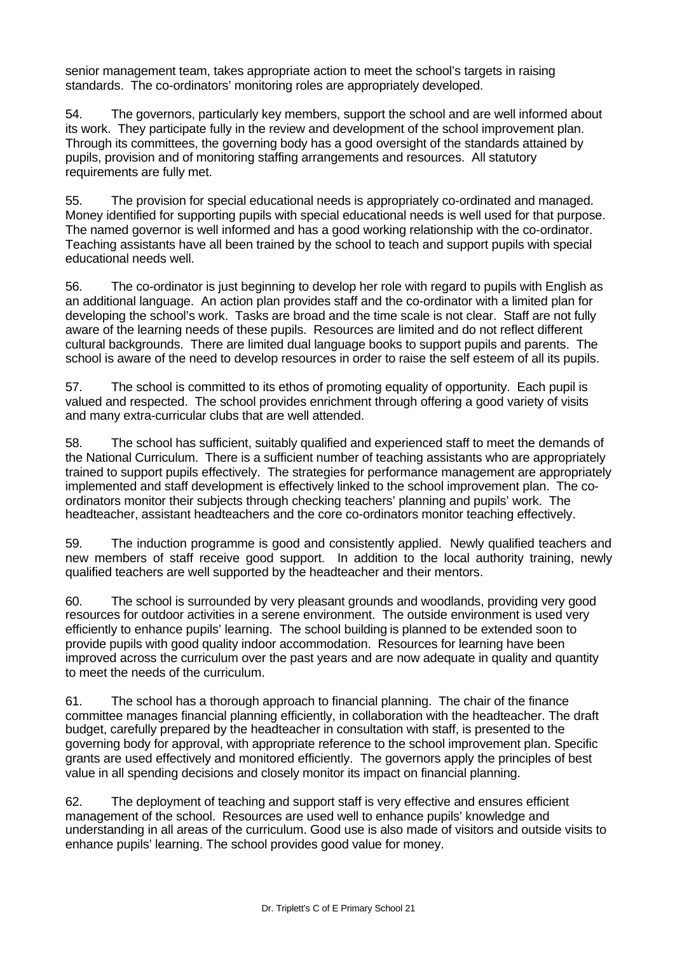senior management team, takes appropriate action to meet the school's targets in raising standards. The co-ordinators' monitoring roles are appropriately developed.

54. The governors, particularly key members, support the school and are well informed about its work. They participate fully in the review and development of the school improvement plan. Through its committees, the governing body has a good oversight of the standards attained by pupils, provision and of monitoring staffing arrangements and resources. All statutory requirements are fully met.

55. The provision for special educational needs is appropriately co-ordinated and managed. Money identified for supporting pupils with special educational needs is well used for that purpose. The named governor is well informed and has a good working relationship with the co-ordinator. Teaching assistants have all been trained by the school to teach and support pupils with special educational needs well.

56. The co-ordinator is just beginning to develop her role with regard to pupils with English as an additional language. An action plan provides staff and the co-ordinator with a limited plan for developing the school's work. Tasks are broad and the time scale is not clear. Staff are not fully aware of the learning needs of these pupils. Resources are limited and do not reflect different cultural backgrounds. There are limited dual language books to support pupils and parents. The school is aware of the need to develop resources in order to raise the self esteem of all its pupils.

57. The school is committed to its ethos of promoting equality of opportunity. Each pupil is valued and respected. The school provides enrichment through offering a good variety of visits and many extra-curricular clubs that are well attended.

58. The school has sufficient, suitably qualified and experienced staff to meet the demands of the National Curriculum. There is a sufficient number of teaching assistants who are appropriately trained to support pupils effectively. The strategies for performance management are appropriately implemented and staff development is effectively linked to the school improvement plan. The coordinators monitor their subjects through checking teachers' planning and pupils' work. The headteacher, assistant headteachers and the core co-ordinators monitor teaching effectively.

59. The induction programme is good and consistently applied. Newly qualified teachers and new members of staff receive good support. In addition to the local authority training, newly qualified teachers are well supported by the headteacher and their mentors.

60. The school is surrounded by very pleasant grounds and woodlands, providing very good resources for outdoor activities in a serene environment. The outside environment is used very efficiently to enhance pupils' learning. The school building is planned to be extended soon to provide pupils with good quality indoor accommodation. Resources for learning have been improved across the curriculum over the past years and are now adequate in quality and quantity to meet the needs of the curriculum.

61. The school has a thorough approach to financial planning. The chair of the finance committee manages financial planning efficiently, in collaboration with the headteacher. The draft budget, carefully prepared by the headteacher in consultation with staff, is presented to the governing body for approval, with appropriate reference to the school improvement plan. Specific grants are used effectively and monitored efficiently. The governors apply the principles of best value in all spending decisions and closely monitor its impact on financial planning.

62. The deployment of teaching and support staff is very effective and ensures efficient management of the school. Resources are used well to enhance pupils' knowledge and understanding in all areas of the curriculum. Good use is also made of visitors and outside visits to enhance pupils' learning. The school provides good value for money.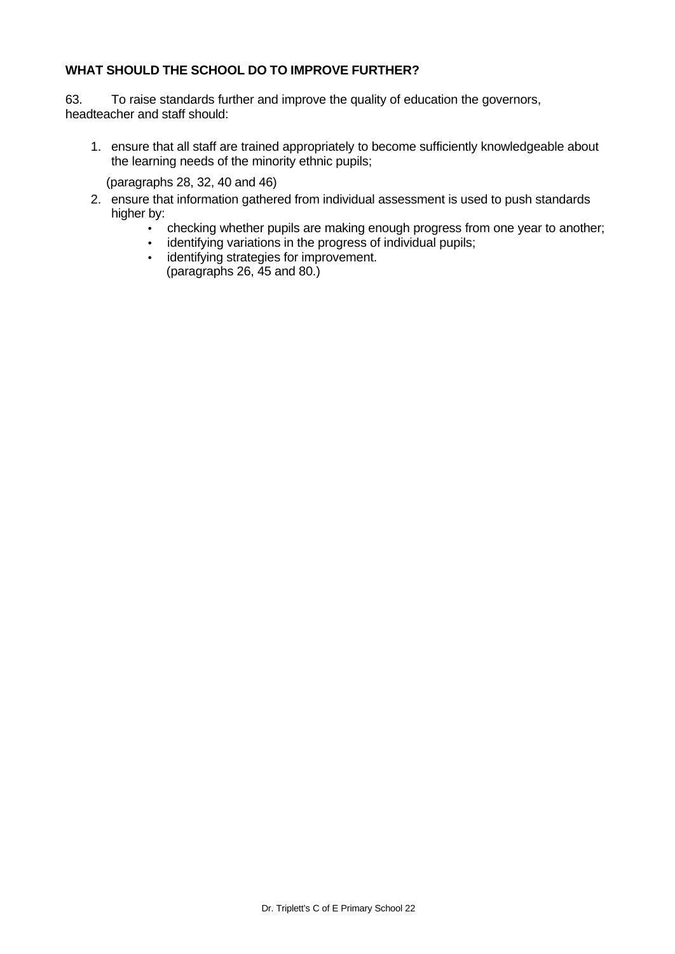#### **WHAT SHOULD THE SCHOOL DO TO IMPROVE FURTHER?**

63. To raise standards further and improve the quality of education the governors, headteacher and staff should:

1. ensure that all staff are trained appropriately to become sufficiently knowledgeable about the learning needs of the minority ethnic pupils;

(paragraphs 28, 32, 40 and 46)

- 2. ensure that information gathered from individual assessment is used to push standards higher by:
	- checking whether pupils are making enough progress from one year to another;
	- identifying variations in the progress of individual pupils;
	- identifying strategies for improvement. (paragraphs 26, 45 and 80.)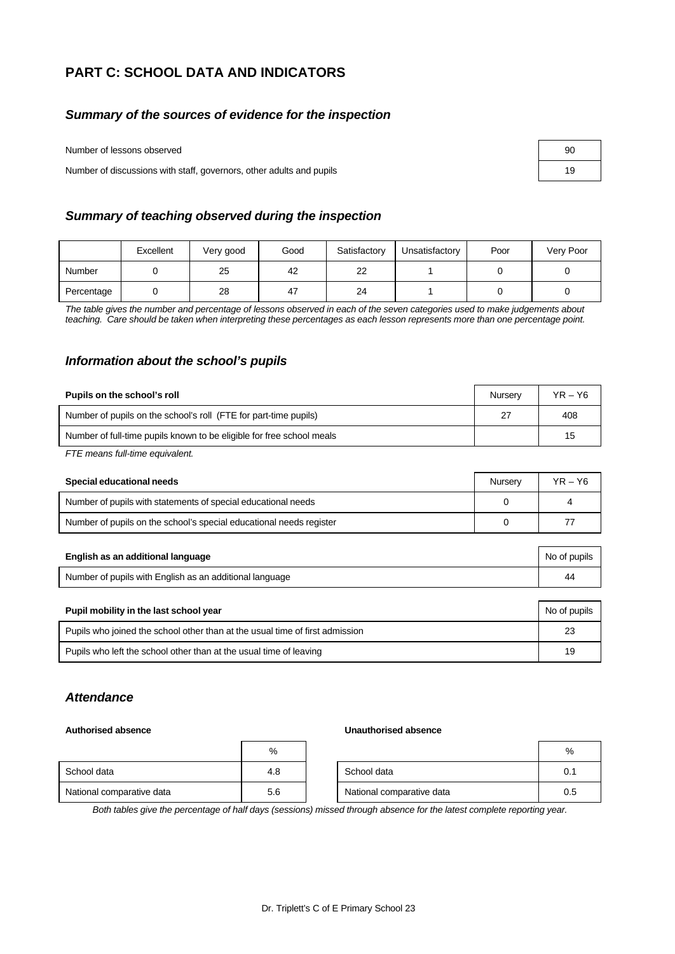# **PART C: SCHOOL DATA AND INDICATORS**

#### *Summary of the sources of evidence for the inspection*

Number of lessons observed

Number of discussions with staff, governors, other adults and pupils

| 90 |  |
|----|--|
| 19 |  |

#### *Summary of teaching observed during the inspection*

|            | Excellent | Very good | Good | Satisfactory | Unsatisfactory | Poor | Very Poor |
|------------|-----------|-----------|------|--------------|----------------|------|-----------|
| Number     |           | 25        | 42   | $\sim$<br>22 |                |      |           |
| Percentage |           | 28        | 47   | 24           |                |      |           |

*The table gives the number and percentage of lessons observed in each of the seven categories used to make judgements about teaching. Care should be taken when interpreting these percentages as each lesson represents more than one percentage point.*

#### *Information about the school's pupils*

| Pupils on the school's roll                                           | Nurserv | $YR - Y6$ |
|-----------------------------------------------------------------------|---------|-----------|
| Number of pupils on the school's roll (FTE for part-time pupils)      |         | 408       |
| Number of full-time pupils known to be eligible for free school meals |         | 15        |

*FTE means full-time equivalent.*

| Special educational needs                                           | Nursen | YR – Y6 |
|---------------------------------------------------------------------|--------|---------|
| Number of pupils with statements of special educational needs       |        |         |
| Number of pupils on the school's special educational needs register |        |         |

| English as an additional language                       | No of pupils |
|---------------------------------------------------------|--------------|
| Number of pupils with English as an additional language |              |

| Pupil mobility in the last school year                                       | No of pupils |
|------------------------------------------------------------------------------|--------------|
| Pupils who joined the school other than at the usual time of first admission | 23           |
| Pupils who left the school other than at the usual time of leaving           | 19           |

#### *Attendance*

#### **Authorised absence Unauthorised absence**

|                           | %   |                           | %   |
|---------------------------|-----|---------------------------|-----|
| School data               | 4.8 | School data               | 0.1 |
| National comparative data | 5.6 | National comparative data | 0.5 |

*Both tables give the percentage of half days (sessions) missed through absence for the latest complete reporting year.*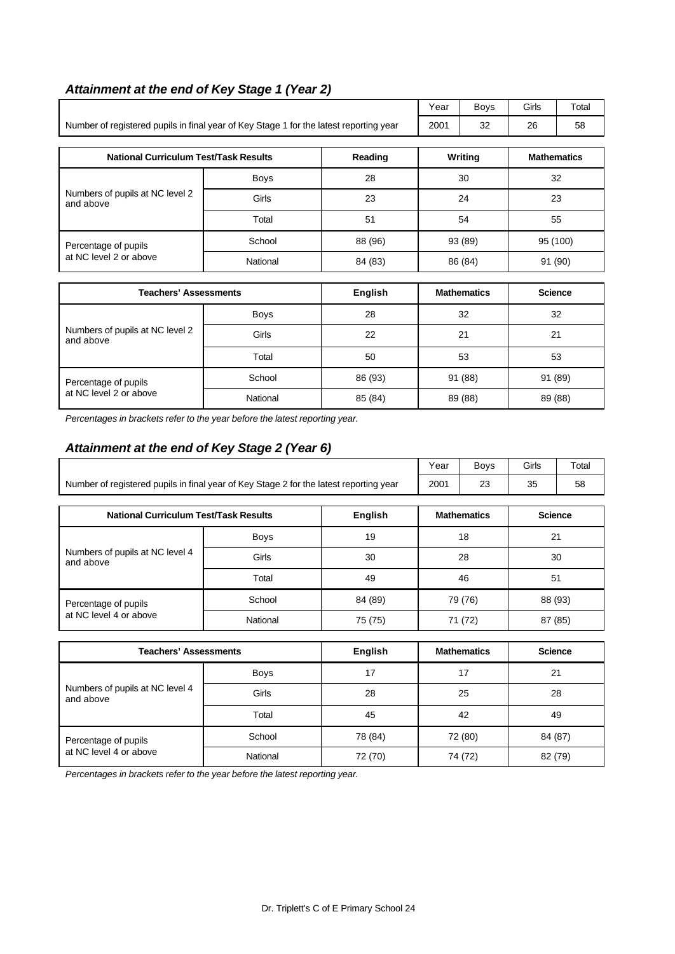# *Attainment at the end of Key Stage 1 (Year 2)*

|                                                                                        |          |         | Year                | Boys               | Girls   | Total              |
|----------------------------------------------------------------------------------------|----------|---------|---------------------|--------------------|---------|--------------------|
| Number of registered pupils in final year of Key Stage 1 for the latest reporting year |          |         | 2001                | 32                 | 26      | 58                 |
| <b>National Curriculum Test/Task Results</b>                                           |          | Reading |                     | Writing            |         | <b>Mathematics</b> |
|                                                                                        | Boys     | 28      |                     | 30                 | 32      |                    |
| Numbers of pupils at NC level 2<br>and above                                           | Girls    | 23      | 24                  |                    |         | 23                 |
|                                                                                        | Total    | 51      | 54                  |                    | 55      |                    |
| Percentage of pupils                                                                   | School   | 88 (96) | 95 (100)<br>93 (89) |                    |         |                    |
| at NC level 2 or above                                                                 | National | 84 (83) |                     | 86 (84)            | 91 (90) |                    |
| <b>Teachers' Assessments</b>                                                           |          | English |                     | <b>Mathematics</b> |         | <b>Science</b>     |
|                                                                                        | Boys     | 28      | 32                  |                    |         | 32                 |
| Numbers of pupils at NC level 2<br>and above                                           | Girls    | 22      |                     | 21                 | 21      |                    |
|                                                                                        | Total    | 50      |                     | 53                 | 53      |                    |
| Percentage of pupils                                                                   | School   | 86 (93) |                     | 91 (88)            | 91 (89) |                    |
| at NC level 2 or above                                                                 | National | 85 (84) |                     | 89 (88)            |         | 89 (88)            |

*Percentages in brackets refer to the year before the latest reporting year.*

#### *Attainment at the end of Key Stage 2 (Year 6)*

|                                                                                        |          |                | Year    | Boys               | Girls   | Total          |  |
|----------------------------------------------------------------------------------------|----------|----------------|---------|--------------------|---------|----------------|--|
| Number of registered pupils in final year of Key Stage 2 for the latest reporting year | 2001     | 23             | 35      | 58                 |         |                |  |
| <b>National Curriculum Test/Task Results</b>                                           |          | <b>English</b> |         | <b>Mathematics</b> |         | <b>Science</b> |  |
|                                                                                        | Boys     | 19             |         | 18                 |         | 21             |  |
| Numbers of pupils at NC level 4<br>and above                                           | Girls    | 30             |         | 28                 |         | 30             |  |
|                                                                                        | Total    | 49             |         | 46                 |         | 51             |  |
| Percentage of pupils                                                                   | School   | 84 (89)        | 79 (76) |                    |         | 88 (93)        |  |
| at NC level 4 or above                                                                 | National | 75 (75)        |         | 71 (72)            | 87 (85) |                |  |
| <b>Teachers' Assessments</b>                                                           |          | English        |         | <b>Mathematics</b> |         | <b>Science</b> |  |
|                                                                                        | Boys     | 17             | 17      |                    |         | 21             |  |
| Numbers of pupils at NC level 4<br>and above                                           | Girls    | 28             |         | 25                 | 28      |                |  |
|                                                                                        | Total    | 45             |         | 42                 | 49      |                |  |
| Percentage of pupils                                                                   | School   | 78 (84)        |         | 72 (80)            |         | 84 (87)        |  |

at NC level 4 or above National 72 (70) 74 (72) 82 (79)

*Percentages in brackets refer to the year before the latest reporting year.*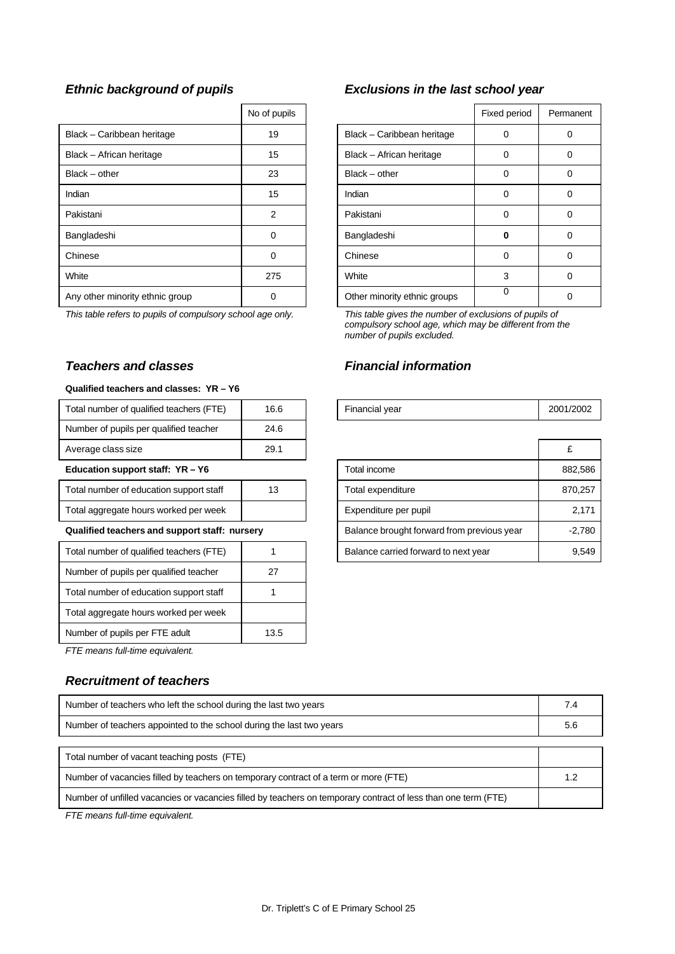|                                 | No of pupils   |                              | Fixed period | Perma    |
|---------------------------------|----------------|------------------------------|--------------|----------|
| Black - Caribbean heritage      | 19             | Black - Caribbean heritage   | 0            | 0        |
| Black - African heritage        | 15             | Black - African heritage     | 0            | 0        |
| $Black - other$                 | 23             | $Black - other$              | 0            | $\Omega$ |
| Indian                          | 15             | Indian                       | 0            | 0        |
| Pakistani                       | $\mathfrak{p}$ | Pakistani                    | 0            | 0        |
| Bangladeshi                     | 0              | Bangladeshi                  | Ω            | 0        |
| Chinese                         | 0              | Chinese                      | 0            | 0        |
| White                           | 275            | White                        | 3            | $\Omega$ |
| Any other minority ethnic group | 0              | Other minority ethnic groups | 0            | 0        |

#### *Teachers and classes Financial information*

#### **Qualified teachers and classes: YR – Y6**

| Total number of qualified teachers (FTE)      | 16.6 | Financial year                             | 2001/ |
|-----------------------------------------------|------|--------------------------------------------|-------|
| Number of pupils per qualified teacher        | 24.6 |                                            |       |
| Average class size                            | 29.1 |                                            | £     |
| Education support staff: YR - Y6              |      | Total income                               | 88    |
| Total number of education support staff       | 13   | Total expenditure                          | 87    |
| Total aggregate hours worked per week         |      | Expenditure per pupil                      |       |
| Qualified teachers and support staff: nursery |      | Balance brought forward from previous year |       |
| Total number of qualified teachers (FTE)      |      | Balance carried forward to next year       |       |
| Number of pupils per qualified teacher        | 27   |                                            |       |
| Total number of education support staff       |      |                                            |       |
| Total aggregate hours worked per week         |      |                                            |       |
| Number of pupils per FTE adult                | 13.5 |                                            |       |

*FTE means full-time equivalent.*

#### *Recruitment of teachers*

| Number of teachers who left the school during the last two years                                               | 7.4 |
|----------------------------------------------------------------------------------------------------------------|-----|
| Number of teachers appointed to the school during the last two years                                           | 5.6 |
|                                                                                                                |     |
| Total number of vacant teaching posts (FTE)                                                                    |     |
| Number of vacancies filled by teachers on temporary contract of a term or more (FTE)                           | 1.2 |
| Number of unfilled vacancies or vacancies filled by teachers on temporary contract of less than one term (FTE) |     |

*FTE means full-time equivalent.*

#### *Ethnic background of pupils Exclusions in the last school year*

| No of pupils   |                              | Fixed period | Permanent |
|----------------|------------------------------|--------------|-----------|
| 19             | Black - Caribbean heritage   | ∩            | 0         |
| 15             | Black - African heritage     | O            |           |
| 23             | $Black - other$              | U            | Ω         |
| 15             | Indian                       | 0            | ი         |
| $\overline{2}$ | Pakistani                    | $\Omega$     | 0         |
| 0              | Bangladeshi                  | 0            | 0         |
| 0              | Chinese                      | 0            | ი         |
| 275            | White                        | 3            |           |
|                | Other minority ethnic groups | 0            |           |

*This table refers to pupils of compulsory school age only. This table gives the number of exclusions of pupils of compulsory school age, which may be different from the number of pupils excluded.*

| Total number of qualified teachers (FTE)      | 16.6 |                                            | Financial year                       | 2001/2002 |
|-----------------------------------------------|------|--------------------------------------------|--------------------------------------|-----------|
| Number of pupils per qualified teacher        | 24.6 |                                            |                                      |           |
| Average class size                            | 29.1 |                                            |                                      |           |
| Education support staff: YR-Y6                |      | Total income                               | 882,586                              |           |
| Total number of education support staff       | 13   |                                            | Total expenditure                    | 870,257   |
| Total aggregate hours worked per week         |      |                                            | Expenditure per pupil                | 2,171     |
| Qualified teachers and support staff: nursery |      | Balance brought forward from previous year | $-2,780$                             |           |
| Total number of qualified teachers (FTE)      |      |                                            | Balance carried forward to next year | 9,549     |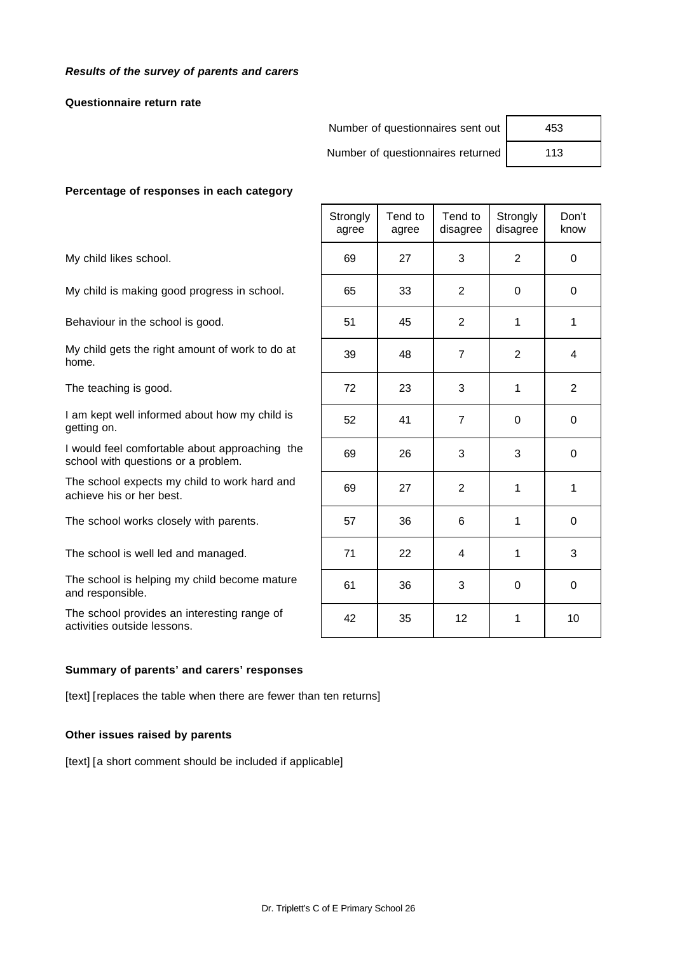#### *Results of the survey of parents and carers*

#### **Questionnaire return rate**

Number of questionnaires sent out

Number of questionnaires returned

| 453 |  |
|-----|--|
| 113 |  |

#### **Percentage of responses in each category**

#### **Summary of parents' and carers' responses**

[text] [replaces the table when there are fewer than ten returns]

#### **Other issues raised by parents**

[text] [a short comment should be included if applicable]

|                                                                                       | Strongly<br>agree | Tend to<br>agree | Tend to<br>disagree | Strongly<br>disagree | Don't<br>know |
|---------------------------------------------------------------------------------------|-------------------|------------------|---------------------|----------------------|---------------|
| My child likes school.                                                                | 69                | 27               | 3                   | $\overline{2}$       | $\mathbf 0$   |
| My child is making good progress in school.                                           | 65                | 33               | $\overline{2}$      | $\Omega$             | $\Omega$      |
| Behaviour in the school is good.                                                      | 51                | 45               | $\mathbf{2}$        | 1                    | 1             |
| My child gets the right amount of work to do at<br>home.                              | 39                | 48               | $\overline{7}$      | 2                    | 4             |
| The teaching is good.                                                                 | 72                | 23               | 3                   | $\mathbf 1$          | 2             |
| I am kept well informed about how my child is<br>getting on.                          | 52                | 41               | $\overline{7}$      | $\Omega$             | $\mathbf{0}$  |
| I would feel comfortable about approaching the<br>school with questions or a problem. | 69                | 26               | 3                   | 3                    | $\Omega$      |
| The school expects my child to work hard and<br>achieve his or her best.              | 69                | 27               | 2                   | 1                    | 1             |
| The school works closely with parents.                                                | 57                | 36               | 6                   | 1                    | 0             |
| The school is well led and managed.                                                   | 71                | 22               | 4                   | 1                    | 3             |
| The school is helping my child become mature<br>and responsible.                      | 61                | 36               | 3                   | $\Omega$             | $\Omega$      |
| The school provides an interesting range of<br>activities outside lessons.            | 42                | 35               | 12                  | 1                    | 10            |
|                                                                                       |                   |                  |                     |                      |               |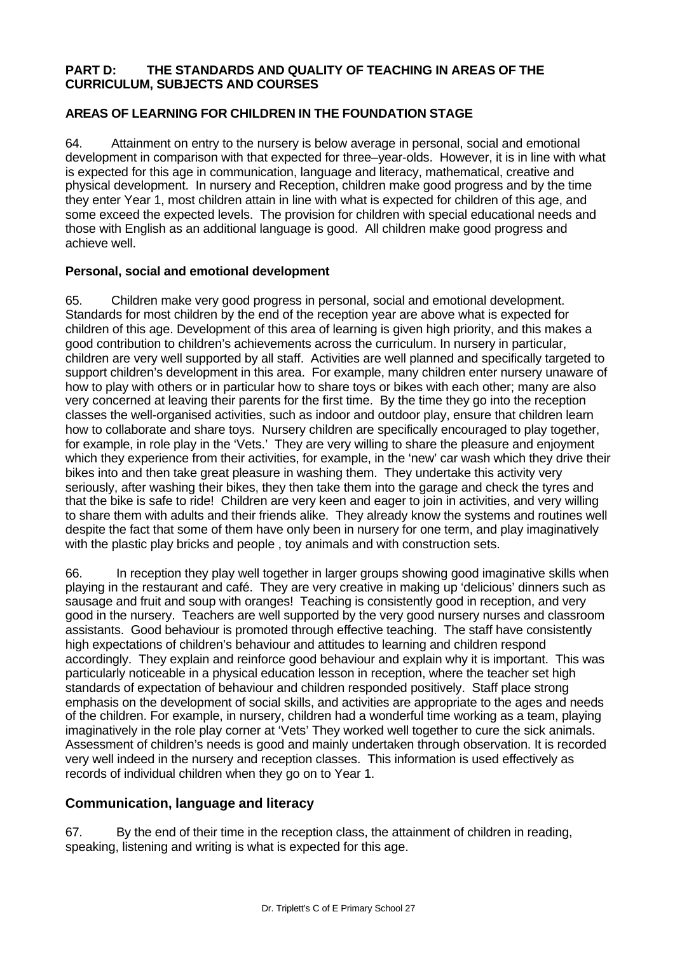#### **PART D: THE STANDARDS AND QUALITY OF TEACHING IN AREAS OF THE CURRICULUM, SUBJECTS AND COURSES**

### **AREAS OF LEARNING FOR CHILDREN IN THE FOUNDATION STAGE**

64. Attainment on entry to the nursery is below average in personal, social and emotional development in comparison with that expected for three–year-olds. However, it is in line with what is expected for this age in communication, language and literacy, mathematical, creative and physical development. In nursery and Reception, children make good progress and by the time they enter Year 1, most children attain in line with what is expected for children of this age, and some exceed the expected levels. The provision for children with special educational needs and those with English as an additional language is good. All children make good progress and achieve well.

#### **Personal, social and emotional development**

65. Children make very good progress in personal, social and emotional development. Standards for most children by the end of the reception year are above what is expected for children of this age. Development of this area of learning is given high priority, and this makes a good contribution to children's achievements across the curriculum. In nursery in particular, children are very well supported by all staff. Activities are well planned and specifically targeted to support children's development in this area. For example, many children enter nursery unaware of how to play with others or in particular how to share toys or bikes with each other; many are also very concerned at leaving their parents for the first time. By the time they go into the reception classes the well-organised activities, such as indoor and outdoor play, ensure that children learn how to collaborate and share toys. Nursery children are specifically encouraged to play together, for example, in role play in the 'Vets.' They are very willing to share the pleasure and enjoyment which they experience from their activities, for example, in the 'new' car wash which they drive their bikes into and then take great pleasure in washing them. They undertake this activity very seriously, after washing their bikes, they then take them into the garage and check the tyres and that the bike is safe to ride! Children are very keen and eager to join in activities, and very willing to share them with adults and their friends alike. They already know the systems and routines well despite the fact that some of them have only been in nursery for one term, and play imaginatively with the plastic play bricks and people , toy animals and with construction sets.

66. In reception they play well together in larger groups showing good imaginative skills when playing in the restaurant and café. They are very creative in making up 'delicious' dinners such as sausage and fruit and soup with oranges! Teaching is consistently good in reception, and very good in the nursery. Teachers are well supported by the very good nursery nurses and classroom assistants. Good behaviour is promoted through effective teaching. The staff have consistently high expectations of children's behaviour and attitudes to learning and children respond accordingly. They explain and reinforce good behaviour and explain why it is important. This was particularly noticeable in a physical education lesson in reception, where the teacher set high standards of expectation of behaviour and children responded positively. Staff place strong emphasis on the development of social skills, and activities are appropriate to the ages and needs of the children. For example, in nursery, children had a wonderful time working as a team, playing imaginatively in the role play corner at 'Vets' They worked well together to cure the sick animals. Assessment of children's needs is good and mainly undertaken through observation. It is recorded very well indeed in the nursery and reception classes. This information is used effectively as records of individual children when they go on to Year 1.

## **Communication, language and literacy**

67. By the end of their time in the reception class, the attainment of children in reading, speaking, listening and writing is what is expected for this age.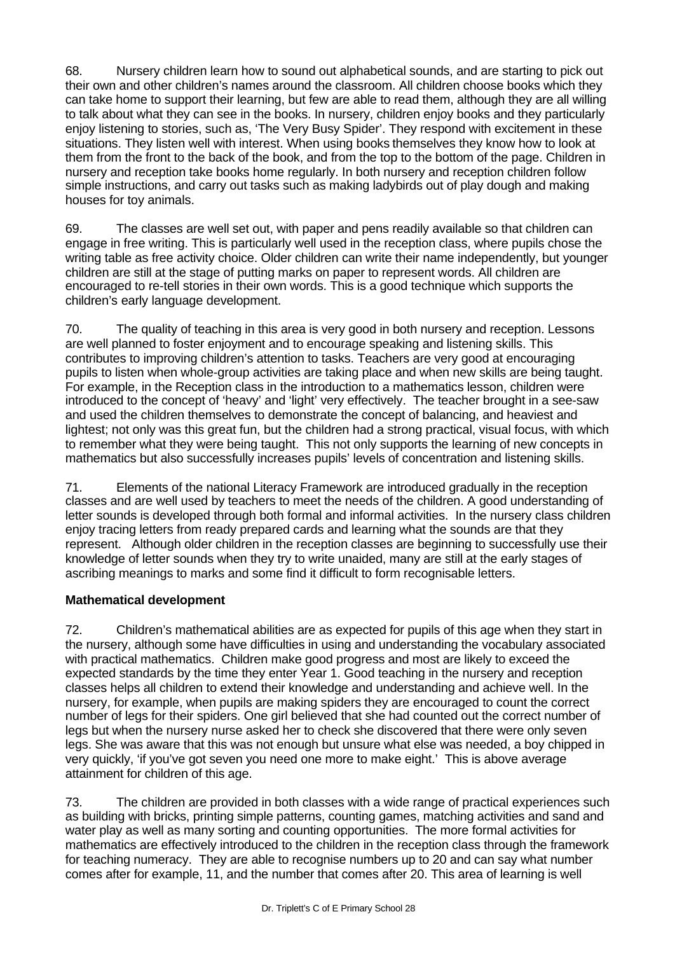68. Nursery children learn how to sound out alphabetical sounds, and are starting to pick out their own and other children's names around the classroom. All children choose books which they can take home to support their learning, but few are able to read them, although they are all willing to talk about what they can see in the books. In nursery, children enjoy books and they particularly enjoy listening to stories, such as, 'The Very Busy Spider'. They respond with excitement in these situations. They listen well with interest. When using books themselves they know how to look at them from the front to the back of the book, and from the top to the bottom of the page. Children in nursery and reception take books home regularly. In both nursery and reception children follow simple instructions, and carry out tasks such as making ladybirds out of play dough and making houses for toy animals.

69. The classes are well set out, with paper and pens readily available so that children can engage in free writing. This is particularly well used in the reception class, where pupils chose the writing table as free activity choice. Older children can write their name independently, but younger children are still at the stage of putting marks on paper to represent words. All children are encouraged to re-tell stories in their own words. This is a good technique which supports the children's early language development.

70. The quality of teaching in this area is very good in both nursery and reception. Lessons are well planned to foster enjoyment and to encourage speaking and listening skills. This contributes to improving children's attention to tasks. Teachers are very good at encouraging pupils to listen when whole-group activities are taking place and when new skills are being taught. For example, in the Reception class in the introduction to a mathematics lesson, children were introduced to the concept of 'heavy' and 'light' very effectively. The teacher brought in a see-saw and used the children themselves to demonstrate the concept of balancing, and heaviest and lightest; not only was this great fun, but the children had a strong practical, visual focus, with which to remember what they were being taught. This not only supports the learning of new concepts in mathematics but also successfully increases pupils' levels of concentration and listening skills.

71. Elements of the national Literacy Framework are introduced gradually in the reception classes and are well used by teachers to meet the needs of the children. A good understanding of letter sounds is developed through both formal and informal activities. In the nursery class children enjoy tracing letters from ready prepared cards and learning what the sounds are that they represent. Although older children in the reception classes are beginning to successfully use their knowledge of letter sounds when they try to write unaided, many are still at the early stages of ascribing meanings to marks and some find it difficult to form recognisable letters.

## **Mathematical development**

72. Children's mathematical abilities are as expected for pupils of this age when they start in the nursery, although some have difficulties in using and understanding the vocabulary associated with practical mathematics. Children make good progress and most are likely to exceed the expected standards by the time they enter Year 1. Good teaching in the nursery and reception classes helps all children to extend their knowledge and understanding and achieve well. In the nursery, for example, when pupils are making spiders they are encouraged to count the correct number of legs for their spiders. One girl believed that she had counted out the correct number of legs but when the nursery nurse asked her to check she discovered that there were only seven legs. She was aware that this was not enough but unsure what else was needed, a boy chipped in very quickly, 'if you've got seven you need one more to make eight.' This is above average attainment for children of this age.

73. The children are provided in both classes with a wide range of practical experiences such as building with bricks, printing simple patterns, counting games, matching activities and sand and water play as well as many sorting and counting opportunities. The more formal activities for mathematics are effectively introduced to the children in the reception class through the framework for teaching numeracy. They are able to recognise numbers up to 20 and can say what number comes after for example, 11, and the number that comes after 20. This area of learning is well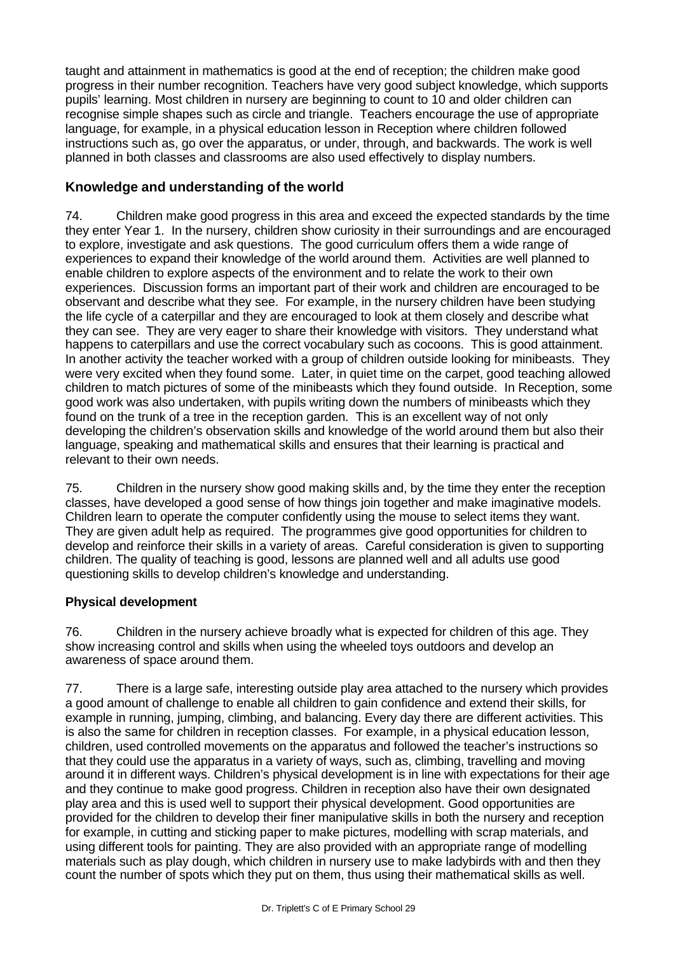taught and attainment in mathematics is good at the end of reception; the children make good progress in their number recognition. Teachers have very good subject knowledge, which supports pupils' learning. Most children in nursery are beginning to count to 10 and older children can recognise simple shapes such as circle and triangle. Teachers encourage the use of appropriate language, for example, in a physical education lesson in Reception where children followed instructions such as, go over the apparatus, or under, through, and backwards. The work is well planned in both classes and classrooms are also used effectively to display numbers.

# **Knowledge and understanding of the world**

74. Children make good progress in this area and exceed the expected standards by the time they enter Year 1. In the nursery, children show curiosity in their surroundings and are encouraged to explore, investigate and ask questions. The good curriculum offers them a wide range of experiences to expand their knowledge of the world around them. Activities are well planned to enable children to explore aspects of the environment and to relate the work to their own experiences. Discussion forms an important part of their work and children are encouraged to be observant and describe what they see. For example, in the nursery children have been studying the life cycle of a caterpillar and they are encouraged to look at them closely and describe what they can see. They are very eager to share their knowledge with visitors. They understand what happens to caterpillars and use the correct vocabulary such as cocoons. This is good attainment. In another activity the teacher worked with a group of children outside looking for minibeasts. They were very excited when they found some. Later, in quiet time on the carpet, good teaching allowed children to match pictures of some of the minibeasts which they found outside. In Reception, some good work was also undertaken, with pupils writing down the numbers of minibeasts which they found on the trunk of a tree in the reception garden. This is an excellent way of not only developing the children's observation skills and knowledge of the world around them but also their language, speaking and mathematical skills and ensures that their learning is practical and relevant to their own needs.

75. Children in the nursery show good making skills and, by the time they enter the reception classes, have developed a good sense of how things join together and make imaginative models. Children learn to operate the computer confidently using the mouse to select items they want. They are given adult help as required. The programmes give good opportunities for children to develop and reinforce their skills in a variety of areas. Careful consideration is given to supporting children. The quality of teaching is good, lessons are planned well and all adults use good questioning skills to develop children's knowledge and understanding.

## **Physical development**

76. Children in the nursery achieve broadly what is expected for children of this age. They show increasing control and skills when using the wheeled toys outdoors and develop an awareness of space around them.

77. There is a large safe, interesting outside play area attached to the nursery which provides a good amount of challenge to enable all children to gain confidence and extend their skills, for example in running, jumping, climbing, and balancing. Every day there are different activities. This is also the same for children in reception classes. For example, in a physical education lesson, children, used controlled movements on the apparatus and followed the teacher's instructions so that they could use the apparatus in a variety of ways, such as, climbing, travelling and moving around it in different ways. Children's physical development is in line with expectations for their age and they continue to make good progress. Children in reception also have their own designated play area and this is used well to support their physical development. Good opportunities are provided for the children to develop their finer manipulative skills in both the nursery and reception for example, in cutting and sticking paper to make pictures, modelling with scrap materials, and using different tools for painting. They are also provided with an appropriate range of modelling materials such as play dough, which children in nursery use to make ladybirds with and then they count the number of spots which they put on them, thus using their mathematical skills as well.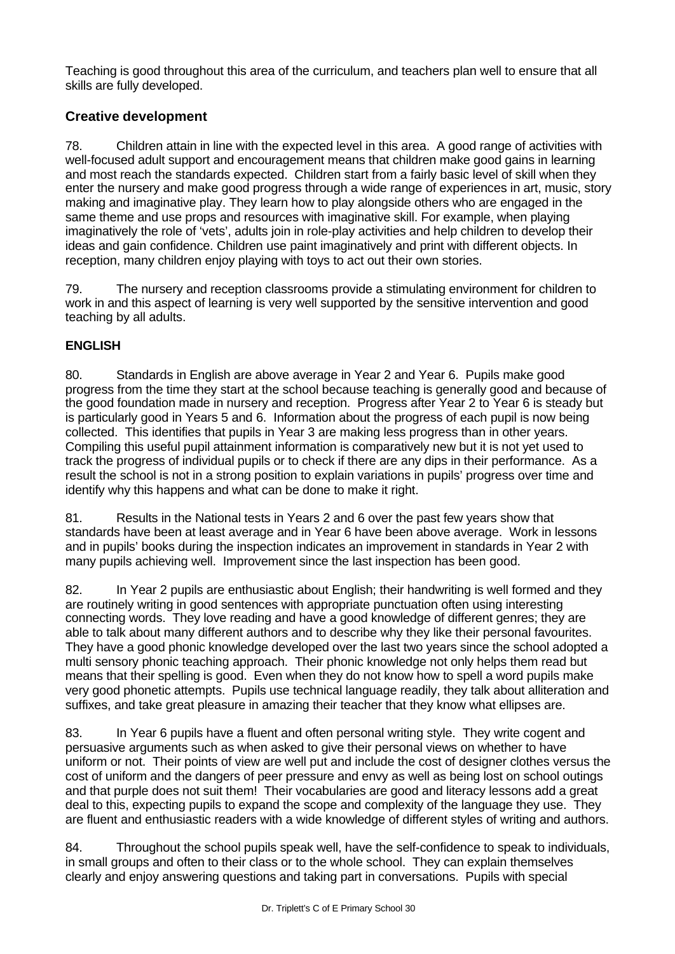Teaching is good throughout this area of the curriculum, and teachers plan well to ensure that all skills are fully developed.

# **Creative development**

78. Children attain in line with the expected level in this area. A good range of activities with well-focused adult support and encouragement means that children make good gains in learning and most reach the standards expected. Children start from a fairly basic level of skill when they enter the nursery and make good progress through a wide range of experiences in art, music, story making and imaginative play. They learn how to play alongside others who are engaged in the same theme and use props and resources with imaginative skill. For example, when playing imaginatively the role of 'vets', adults join in role-play activities and help children to develop their ideas and gain confidence. Children use paint imaginatively and print with different objects. In reception, many children enjoy playing with toys to act out their own stories.

79. The nursery and reception classrooms provide a stimulating environment for children to work in and this aspect of learning is very well supported by the sensitive intervention and good teaching by all adults.

# **ENGLISH**

80. Standards in English are above average in Year 2 and Year 6. Pupils make good progress from the time they start at the school because teaching is generally good and because of the good foundation made in nursery and reception. Progress after Year 2 to Year 6 is steady but is particularly good in Years 5 and 6. Information about the progress of each pupil is now being collected. This identifies that pupils in Year 3 are making less progress than in other years. Compiling this useful pupil attainment information is comparatively new but it is not yet used to track the progress of individual pupils or to check if there are any dips in their performance. As a result the school is not in a strong position to explain variations in pupils' progress over time and identify why this happens and what can be done to make it right.

81. Results in the National tests in Years 2 and 6 over the past few years show that standards have been at least average and in Year 6 have been above average. Work in lessons and in pupils' books during the inspection indicates an improvement in standards in Year 2 with many pupils achieving well. Improvement since the last inspection has been good.

82. In Year 2 pupils are enthusiastic about English; their handwriting is well formed and they are routinely writing in good sentences with appropriate punctuation often using interesting connecting words. They love reading and have a good knowledge of different genres; they are able to talk about many different authors and to describe why they like their personal favourites. They have a good phonic knowledge developed over the last two years since the school adopted a multi sensory phonic teaching approach. Their phonic knowledge not only helps them read but means that their spelling is good. Even when they do not know how to spell a word pupils make very good phonetic attempts. Pupils use technical language readily, they talk about alliteration and suffixes, and take great pleasure in amazing their teacher that they know what ellipses are.

83. In Year 6 pupils have a fluent and often personal writing style. They write cogent and persuasive arguments such as when asked to give their personal views on whether to have uniform or not. Their points of view are well put and include the cost of designer clothes versus the cost of uniform and the dangers of peer pressure and envy as well as being lost on school outings and that purple does not suit them! Their vocabularies are good and literacy lessons add a great deal to this, expecting pupils to expand the scope and complexity of the language they use. They are fluent and enthusiastic readers with a wide knowledge of different styles of writing and authors.

84. Throughout the school pupils speak well, have the self-confidence to speak to individuals, in small groups and often to their class or to the whole school. They can explain themselves clearly and enjoy answering questions and taking part in conversations. Pupils with special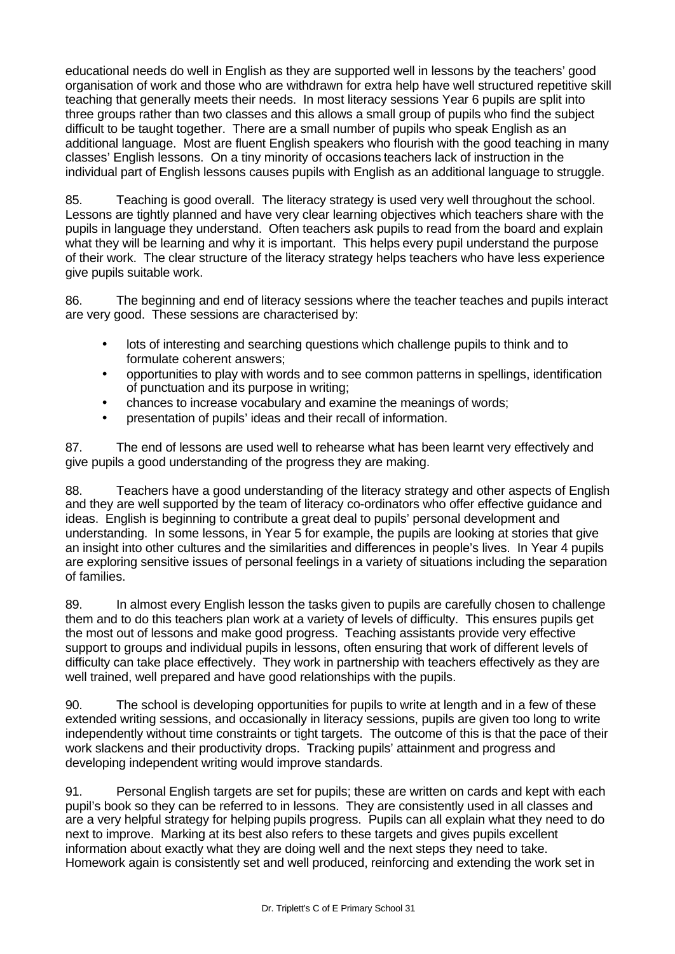educational needs do well in English as they are supported well in lessons by the teachers' good organisation of work and those who are withdrawn for extra help have well structured repetitive skill teaching that generally meets their needs. In most literacy sessions Year 6 pupils are split into three groups rather than two classes and this allows a small group of pupils who find the subject difficult to be taught together. There are a small number of pupils who speak English as an additional language. Most are fluent English speakers who flourish with the good teaching in many classes' English lessons. On a tiny minority of occasions teachers lack of instruction in the individual part of English lessons causes pupils with English as an additional language to struggle.

85. Teaching is good overall. The literacy strategy is used very well throughout the school. Lessons are tightly planned and have very clear learning objectives which teachers share with the pupils in language they understand. Often teachers ask pupils to read from the board and explain what they will be learning and why it is important. This helps every pupil understand the purpose of their work. The clear structure of the literacy strategy helps teachers who have less experience give pupils suitable work.

86. The beginning and end of literacy sessions where the teacher teaches and pupils interact are very good. These sessions are characterised by:

- lots of interesting and searching questions which challenge pupils to think and to formulate coherent answers;
- opportunities to play with words and to see common patterns in spellings, identification of punctuation and its purpose in writing;
- chances to increase vocabulary and examine the meanings of words;
- presentation of pupils' ideas and their recall of information.

87. The end of lessons are used well to rehearse what has been learnt very effectively and give pupils a good understanding of the progress they are making.

88. Teachers have a good understanding of the literacy strategy and other aspects of English and they are well supported by the team of literacy co-ordinators who offer effective guidance and ideas. English is beginning to contribute a great deal to pupils' personal development and understanding. In some lessons, in Year 5 for example, the pupils are looking at stories that give an insight into other cultures and the similarities and differences in people's lives. In Year 4 pupils are exploring sensitive issues of personal feelings in a variety of situations including the separation of families.

89. In almost every English lesson the tasks given to pupils are carefully chosen to challenge them and to do this teachers plan work at a variety of levels of difficulty. This ensures pupils get the most out of lessons and make good progress. Teaching assistants provide very effective support to groups and individual pupils in lessons, often ensuring that work of different levels of difficulty can take place effectively. They work in partnership with teachers effectively as they are well trained, well prepared and have good relationships with the pupils.

90. The school is developing opportunities for pupils to write at length and in a few of these extended writing sessions, and occasionally in literacy sessions, pupils are given too long to write independently without time constraints or tight targets. The outcome of this is that the pace of their work slackens and their productivity drops. Tracking pupils' attainment and progress and developing independent writing would improve standards.

91. Personal English targets are set for pupils; these are written on cards and kept with each pupil's book so they can be referred to in lessons. They are consistently used in all classes and are a very helpful strategy for helping pupils progress. Pupils can all explain what they need to do next to improve. Marking at its best also refers to these targets and gives pupils excellent information about exactly what they are doing well and the next steps they need to take. Homework again is consistently set and well produced, reinforcing and extending the work set in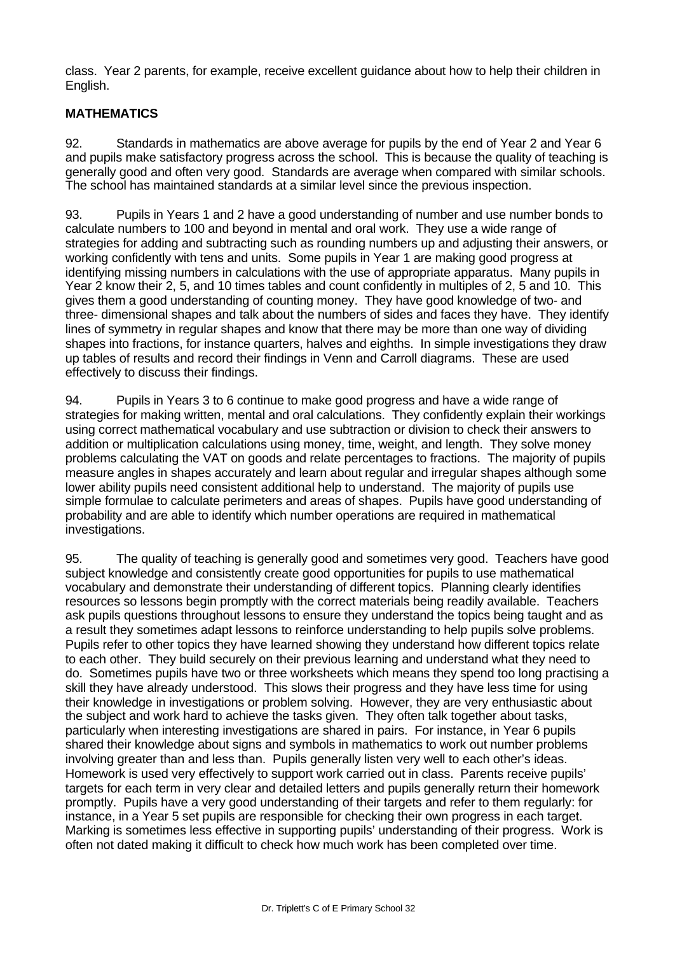class. Year 2 parents, for example, receive excellent guidance about how to help their children in English.

## **MATHEMATICS**

92. Standards in mathematics are above average for pupils by the end of Year 2 and Year 6 and pupils make satisfactory progress across the school. This is because the quality of teaching is generally good and often very good. Standards are average when compared with similar schools. The school has maintained standards at a similar level since the previous inspection.

93. Pupils in Years 1 and 2 have a good understanding of number and use number bonds to calculate numbers to 100 and beyond in mental and oral work. They use a wide range of strategies for adding and subtracting such as rounding numbers up and adjusting their answers, or working confidently with tens and units. Some pupils in Year 1 are making good progress at identifying missing numbers in calculations with the use of appropriate apparatus. Many pupils in Year 2 know their 2, 5, and 10 times tables and count confidently in multiples of 2, 5 and 10. This gives them a good understanding of counting money. They have good knowledge of two- and three- dimensional shapes and talk about the numbers of sides and faces they have. They identify lines of symmetry in regular shapes and know that there may be more than one way of dividing shapes into fractions, for instance quarters, halves and eighths. In simple investigations they draw up tables of results and record their findings in Venn and Carroll diagrams. These are used effectively to discuss their findings.

94. Pupils in Years 3 to 6 continue to make good progress and have a wide range of strategies for making written, mental and oral calculations. They confidently explain their workings using correct mathematical vocabulary and use subtraction or division to check their answers to addition or multiplication calculations using money, time, weight, and length. They solve money problems calculating the VAT on goods and relate percentages to fractions. The majority of pupils measure angles in shapes accurately and learn about regular and irregular shapes although some lower ability pupils need consistent additional help to understand. The majority of pupils use simple formulae to calculate perimeters and areas of shapes. Pupils have good understanding of probability and are able to identify which number operations are required in mathematical investigations.

95. The quality of teaching is generally good and sometimes very good. Teachers have good subject knowledge and consistently create good opportunities for pupils to use mathematical vocabulary and demonstrate their understanding of different topics. Planning clearly identifies resources so lessons begin promptly with the correct materials being readily available. Teachers ask pupils questions throughout lessons to ensure they understand the topics being taught and as a result they sometimes adapt lessons to reinforce understanding to help pupils solve problems. Pupils refer to other topics they have learned showing they understand how different topics relate to each other. They build securely on their previous learning and understand what they need to do. Sometimes pupils have two or three worksheets which means they spend too long practising a skill they have already understood. This slows their progress and they have less time for using their knowledge in investigations or problem solving. However, they are very enthusiastic about the subject and work hard to achieve the tasks given. They often talk together about tasks, particularly when interesting investigations are shared in pairs. For instance, in Year 6 pupils shared their knowledge about signs and symbols in mathematics to work out number problems involving greater than and less than. Pupils generally listen very well to each other's ideas. Homework is used very effectively to support work carried out in class. Parents receive pupils' targets for each term in very clear and detailed letters and pupils generally return their homework promptly. Pupils have a very good understanding of their targets and refer to them regularly: for instance, in a Year 5 set pupils are responsible for checking their own progress in each target. Marking is sometimes less effective in supporting pupils' understanding of their progress. Work is often not dated making it difficult to check how much work has been completed over time.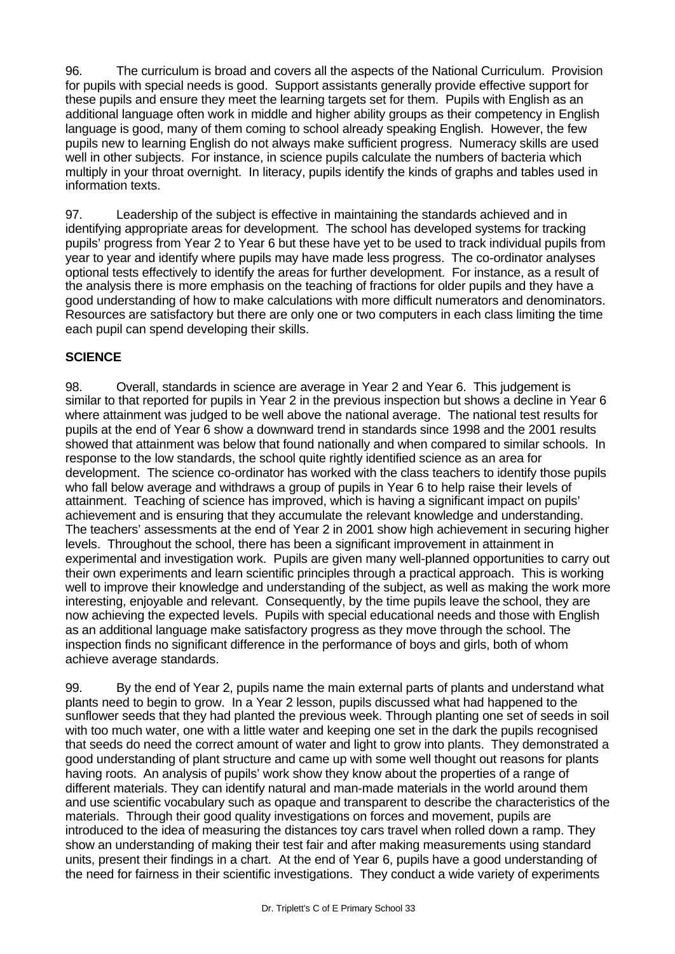96. The curriculum is broad and covers all the aspects of the National Curriculum. Provision for pupils with special needs is good. Support assistants generally provide effective support for these pupils and ensure they meet the learning targets set for them. Pupils with English as an additional language often work in middle and higher ability groups as their competency in English language is good, many of them coming to school already speaking English. However, the few pupils new to learning English do not always make sufficient progress. Numeracy skills are used well in other subjects. For instance, in science pupils calculate the numbers of bacteria which multiply in your throat overnight. In literacy, pupils identify the kinds of graphs and tables used in information texts.

97. Leadership of the subject is effective in maintaining the standards achieved and in identifying appropriate areas for development. The school has developed systems for tracking pupils' progress from Year 2 to Year 6 but these have yet to be used to track individual pupils from year to year and identify where pupils may have made less progress. The co-ordinator analyses optional tests effectively to identify the areas for further development. For instance, as a result of the analysis there is more emphasis on the teaching of fractions for older pupils and they have a good understanding of how to make calculations with more difficult numerators and denominators. Resources are satisfactory but there are only one or two computers in each class limiting the time each pupil can spend developing their skills.

#### **SCIENCE**

98. Overall, standards in science are average in Year 2 and Year 6. This judgement is similar to that reported for pupils in Year 2 in the previous inspection but shows a decline in Year 6 where attainment was judged to be well above the national average. The national test results for pupils at the end of Year 6 show a downward trend in standards since 1998 and the 2001 results showed that attainment was below that found nationally and when compared to similar schools. In response to the low standards, the school quite rightly identified science as an area for development. The science co-ordinator has worked with the class teachers to identify those pupils who fall below average and withdraws a group of pupils in Year 6 to help raise their levels of attainment. Teaching of science has improved, which is having a significant impact on pupils' achievement and is ensuring that they accumulate the relevant knowledge and understanding. The teachers' assessments at the end of Year 2 in 2001 show high achievement in securing higher levels. Throughout the school, there has been a significant improvement in attainment in experimental and investigation work. Pupils are given many well-planned opportunities to carry out their own experiments and learn scientific principles through a practical approach. This is working well to improve their knowledge and understanding of the subject, as well as making the work more interesting, enjoyable and relevant. Consequently, by the time pupils leave the school, they are now achieving the expected levels. Pupils with special educational needs and those with English as an additional language make satisfactory progress as they move through the school. The inspection finds no significant difference in the performance of boys and girls, both of whom achieve average standards.

99. By the end of Year 2, pupils name the main external parts of plants and understand what plants need to begin to grow. In a Year 2 lesson, pupils discussed what had happened to the sunflower seeds that they had planted the previous week. Through planting one set of seeds in soil with too much water, one with a little water and keeping one set in the dark the pupils recognised that seeds do need the correct amount of water and light to grow into plants. They demonstrated a good understanding of plant structure and came up with some well thought out reasons for plants having roots. An analysis of pupils' work show they know about the properties of a range of different materials. They can identify natural and man-made materials in the world around them and use scientific vocabulary such as opaque and transparent to describe the characteristics of the materials. Through their good quality investigations on forces and movement, pupils are introduced to the idea of measuring the distances toy cars travel when rolled down a ramp. They show an understanding of making their test fair and after making measurements using standard units, present their findings in a chart. At the end of Year 6, pupils have a good understanding of the need for fairness in their scientific investigations. They conduct a wide variety of experiments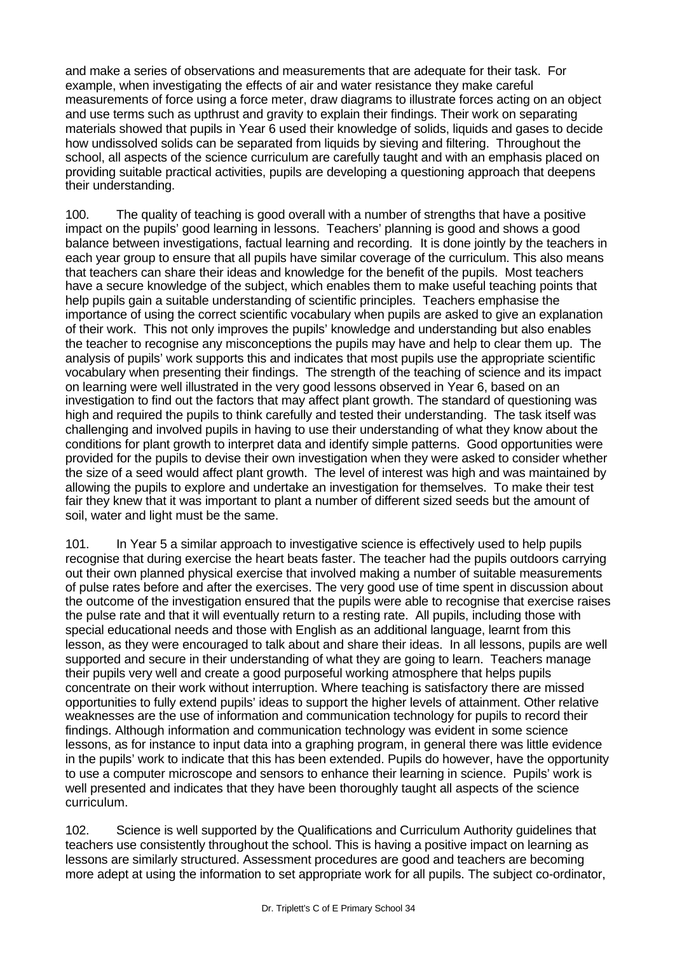and make a series of observations and measurements that are adequate for their task. For example, when investigating the effects of air and water resistance they make careful measurements of force using a force meter, draw diagrams to illustrate forces acting on an object and use terms such as upthrust and gravity to explain their findings. Their work on separating materials showed that pupils in Year 6 used their knowledge of solids, liquids and gases to decide how undissolved solids can be separated from liquids by sieving and filtering. Throughout the school, all aspects of the science curriculum are carefully taught and with an emphasis placed on providing suitable practical activities, pupils are developing a questioning approach that deepens their understanding.

100. The quality of teaching is good overall with a number of strengths that have a positive impact on the pupils' good learning in lessons. Teachers' planning is good and shows a good balance between investigations, factual learning and recording. It is done jointly by the teachers in each year group to ensure that all pupils have similar coverage of the curriculum. This also means that teachers can share their ideas and knowledge for the benefit of the pupils. Most teachers have a secure knowledge of the subject, which enables them to make useful teaching points that help pupils gain a suitable understanding of scientific principles. Teachers emphasise the importance of using the correct scientific vocabulary when pupils are asked to give an explanation of their work. This not only improves the pupils' knowledge and understanding but also enables the teacher to recognise any misconceptions the pupils may have and help to clear them up. The analysis of pupils' work supports this and indicates that most pupils use the appropriate scientific vocabulary when presenting their findings. The strength of the teaching of science and its impact on learning were well illustrated in the very good lessons observed in Year 6, based on an investigation to find out the factors that may affect plant growth. The standard of questioning was high and required the pupils to think carefully and tested their understanding. The task itself was challenging and involved pupils in having to use their understanding of what they know about the conditions for plant growth to interpret data and identify simple patterns. Good opportunities were provided for the pupils to devise their own investigation when they were asked to consider whether the size of a seed would affect plant growth. The level of interest was high and was maintained by allowing the pupils to explore and undertake an investigation for themselves. To make their test fair they knew that it was important to plant a number of different sized seeds but the amount of soil, water and light must be the same.

101. In Year 5 a similar approach to investigative science is effectively used to help pupils recognise that during exercise the heart beats faster. The teacher had the pupils outdoors carrying out their own planned physical exercise that involved making a number of suitable measurements of pulse rates before and after the exercises. The very good use of time spent in discussion about the outcome of the investigation ensured that the pupils were able to recognise that exercise raises the pulse rate and that it will eventually return to a resting rate. All pupils, including those with special educational needs and those with English as an additional language, learnt from this lesson, as they were encouraged to talk about and share their ideas. In all lessons, pupils are well supported and secure in their understanding of what they are going to learn. Teachers manage their pupils very well and create a good purposeful working atmosphere that helps pupils concentrate on their work without interruption. Where teaching is satisfactory there are missed opportunities to fully extend pupils' ideas to support the higher levels of attainment. Other relative weaknesses are the use of information and communication technology for pupils to record their findings. Although information and communication technology was evident in some science lessons, as for instance to input data into a graphing program, in general there was little evidence in the pupils' work to indicate that this has been extended. Pupils do however, have the opportunity to use a computer microscope and sensors to enhance their learning in science. Pupils' work is well presented and indicates that they have been thoroughly taught all aspects of the science curriculum.

102. Science is well supported by the Qualifications and Curriculum Authority guidelines that teachers use consistently throughout the school. This is having a positive impact on learning as lessons are similarly structured. Assessment procedures are good and teachers are becoming more adept at using the information to set appropriate work for all pupils. The subject co-ordinator,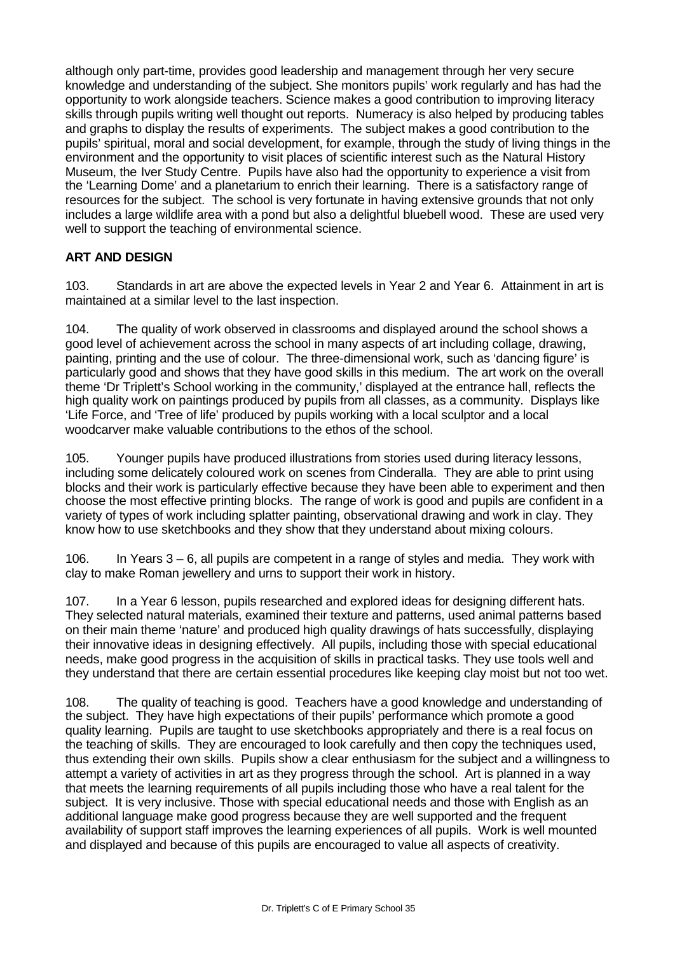although only part-time, provides good leadership and management through her very secure knowledge and understanding of the subject. She monitors pupils' work regularly and has had the opportunity to work alongside teachers. Science makes a good contribution to improving literacy skills through pupils writing well thought out reports. Numeracy is also helped by producing tables and graphs to display the results of experiments. The subject makes a good contribution to the pupils' spiritual, moral and social development, for example, through the study of living things in the environment and the opportunity to visit places of scientific interest such as the Natural History Museum, the Iver Study Centre. Pupils have also had the opportunity to experience a visit from the 'Learning Dome' and a planetarium to enrich their learning. There is a satisfactory range of resources for the subject. The school is very fortunate in having extensive grounds that not only includes a large wildlife area with a pond but also a delightful bluebell wood. These are used very well to support the teaching of environmental science.

# **ART AND DESIGN**

103. Standards in art are above the expected levels in Year 2 and Year 6. Attainment in art is maintained at a similar level to the last inspection.

104. The quality of work observed in classrooms and displayed around the school shows a good level of achievement across the school in many aspects of art including collage, drawing, painting, printing and the use of colour. The three-dimensional work, such as 'dancing figure' is particularly good and shows that they have good skills in this medium. The art work on the overall theme 'Dr Triplett's School working in the community,' displayed at the entrance hall, reflects the high quality work on paintings produced by pupils from all classes, as a community. Displays like 'Life Force, and 'Tree of life' produced by pupils working with a local sculptor and a local woodcarver make valuable contributions to the ethos of the school.

105. Younger pupils have produced illustrations from stories used during literacy lessons, including some delicately coloured work on scenes from Cinderalla. They are able to print using blocks and their work is particularly effective because they have been able to experiment and then choose the most effective printing blocks. The range of work is good and pupils are confident in a variety of types of work including splatter painting, observational drawing and work in clay. They know how to use sketchbooks and they show that they understand about mixing colours.

106. In Years 3 – 6, all pupils are competent in a range of styles and media. They work with clay to make Roman jewellery and urns to support their work in history.

107. In a Year 6 lesson, pupils researched and explored ideas for designing different hats. They selected natural materials, examined their texture and patterns, used animal patterns based on their main theme 'nature' and produced high quality drawings of hats successfully, displaying their innovative ideas in designing effectively. All pupils, including those with special educational needs, make good progress in the acquisition of skills in practical tasks. They use tools well and they understand that there are certain essential procedures like keeping clay moist but not too wet.

108. The quality of teaching is good. Teachers have a good knowledge and understanding of the subject. They have high expectations of their pupils' performance which promote a good quality learning. Pupils are taught to use sketchbooks appropriately and there is a real focus on the teaching of skills. They are encouraged to look carefully and then copy the techniques used, thus extending their own skills. Pupils show a clear enthusiasm for the subject and a willingness to attempt a variety of activities in art as they progress through the school. Art is planned in a way that meets the learning requirements of all pupils including those who have a real talent for the subject. It is very inclusive. Those with special educational needs and those with English as an additional language make good progress because they are well supported and the frequent availability of support staff improves the learning experiences of all pupils. Work is well mounted and displayed and because of this pupils are encouraged to value all aspects of creativity.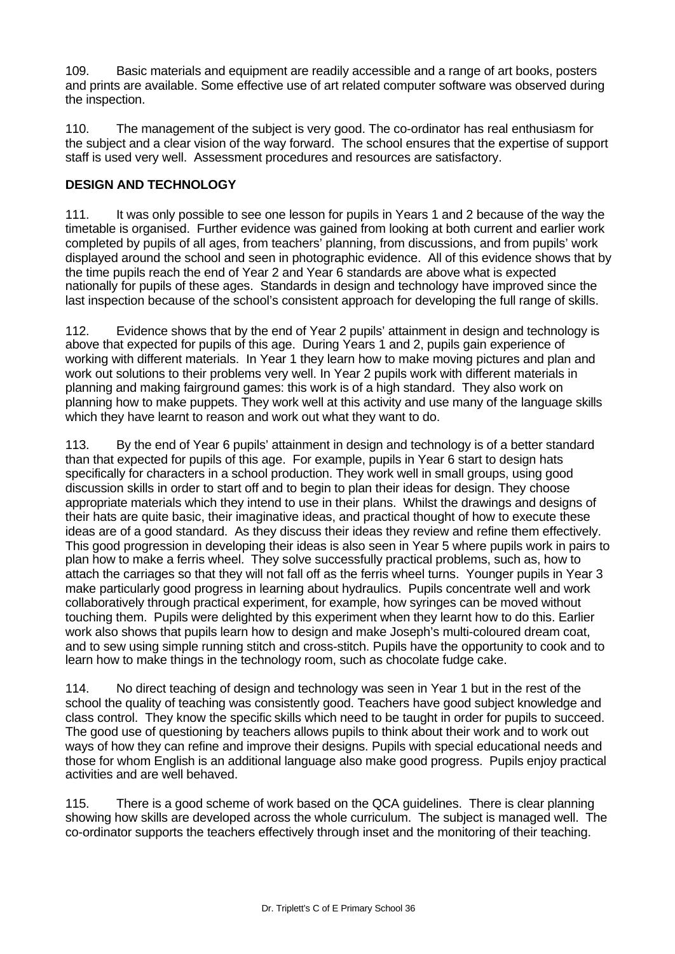109. Basic materials and equipment are readily accessible and a range of art books, posters and prints are available. Some effective use of art related computer software was observed during the inspection.

110. The management of the subject is very good. The co-ordinator has real enthusiasm for the subject and a clear vision of the way forward. The school ensures that the expertise of support staff is used very well. Assessment procedures and resources are satisfactory.

### **DESIGN AND TECHNOLOGY**

111. It was only possible to see one lesson for pupils in Years 1 and 2 because of the way the timetable is organised. Further evidence was gained from looking at both current and earlier work completed by pupils of all ages, from teachers' planning, from discussions, and from pupils' work displayed around the school and seen in photographic evidence. All of this evidence shows that by the time pupils reach the end of Year 2 and Year 6 standards are above what is expected nationally for pupils of these ages. Standards in design and technology have improved since the last inspection because of the school's consistent approach for developing the full range of skills.

112. Evidence shows that by the end of Year 2 pupils' attainment in design and technology is above that expected for pupils of this age. During Years 1 and 2, pupils gain experience of working with different materials. In Year 1 they learn how to make moving pictures and plan and work out solutions to their problems very well. In Year 2 pupils work with different materials in planning and making fairground games: this work is of a high standard. They also work on planning how to make puppets. They work well at this activity and use many of the language skills which they have learnt to reason and work out what they want to do.

113. By the end of Year 6 pupils' attainment in design and technology is of a better standard than that expected for pupils of this age. For example, pupils in Year 6 start to design hats specifically for characters in a school production. They work well in small groups, using good discussion skills in order to start off and to begin to plan their ideas for design. They choose appropriate materials which they intend to use in their plans. Whilst the drawings and designs of their hats are quite basic, their imaginative ideas, and practical thought of how to execute these ideas are of a good standard. As they discuss their ideas they review and refine them effectively. This good progression in developing their ideas is also seen in Year 5 where pupils work in pairs to plan how to make a ferris wheel. They solve successfully practical problems, such as, how to attach the carriages so that they will not fall off as the ferris wheel turns. Younger pupils in Year 3 make particularly good progress in learning about hydraulics. Pupils concentrate well and work collaboratively through practical experiment, for example, how syringes can be moved without touching them. Pupils were delighted by this experiment when they learnt how to do this. Earlier work also shows that pupils learn how to design and make Joseph's multi-coloured dream coat, and to sew using simple running stitch and cross-stitch. Pupils have the opportunity to cook and to learn how to make things in the technology room, such as chocolate fudge cake.

114. No direct teaching of design and technology was seen in Year 1 but in the rest of the school the quality of teaching was consistently good. Teachers have good subject knowledge and class control. They know the specific skills which need to be taught in order for pupils to succeed. The good use of questioning by teachers allows pupils to think about their work and to work out ways of how they can refine and improve their designs. Pupils with special educational needs and those for whom English is an additional language also make good progress. Pupils enjoy practical activities and are well behaved.

115. There is a good scheme of work based on the QCA guidelines. There is clear planning showing how skills are developed across the whole curriculum. The subject is managed well. The co-ordinator supports the teachers effectively through inset and the monitoring of their teaching.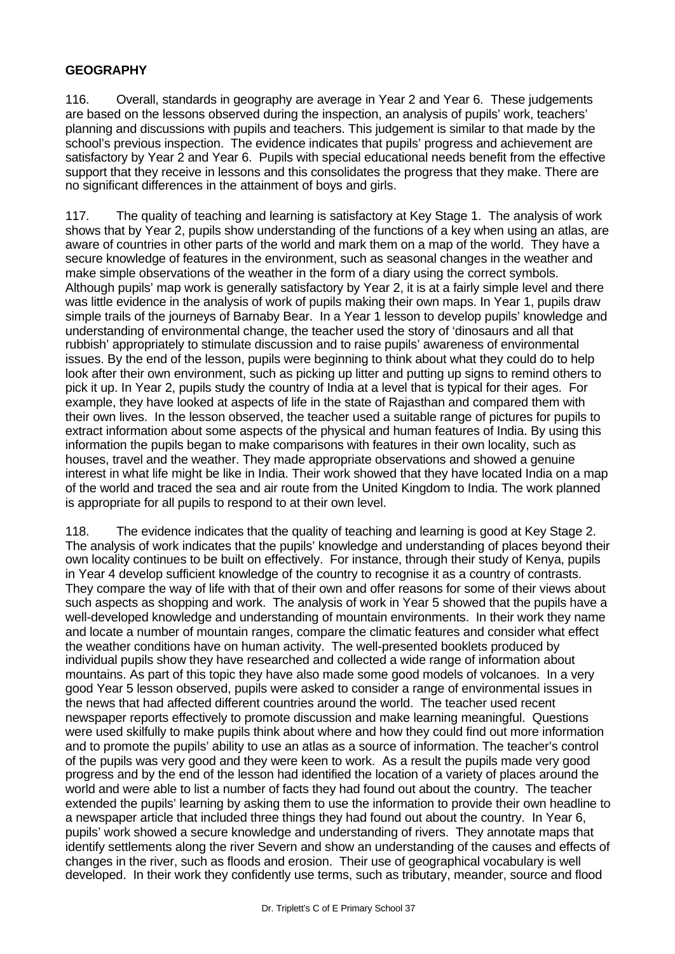#### **GEOGRAPHY**

116. Overall, standards in geography are average in Year 2 and Year 6. These judgements are based on the lessons observed during the inspection, an analysis of pupils' work, teachers' planning and discussions with pupils and teachers. This judgement is similar to that made by the school's previous inspection. The evidence indicates that pupils' progress and achievement are satisfactory by Year 2 and Year 6. Pupils with special educational needs benefit from the effective support that they receive in lessons and this consolidates the progress that they make. There are no significant differences in the attainment of boys and girls.

117. The quality of teaching and learning is satisfactory at Key Stage 1. The analysis of work shows that by Year 2, pupils show understanding of the functions of a key when using an atlas, are aware of countries in other parts of the world and mark them on a map of the world. They have a secure knowledge of features in the environment, such as seasonal changes in the weather and make simple observations of the weather in the form of a diary using the correct symbols. Although pupils' map work is generally satisfactory by Year 2, it is at a fairly simple level and there was little evidence in the analysis of work of pupils making their own maps. In Year 1, pupils draw simple trails of the journeys of Barnaby Bear. In a Year 1 lesson to develop pupils' knowledge and understanding of environmental change, the teacher used the story of 'dinosaurs and all that rubbish' appropriately to stimulate discussion and to raise pupils' awareness of environmental issues. By the end of the lesson, pupils were beginning to think about what they could do to help look after their own environment, such as picking up litter and putting up signs to remind others to pick it up. In Year 2, pupils study the country of India at a level that is typical for their ages. For example, they have looked at aspects of life in the state of Rajasthan and compared them with their own lives. In the lesson observed, the teacher used a suitable range of pictures for pupils to extract information about some aspects of the physical and human features of India. By using this information the pupils began to make comparisons with features in their own locality, such as houses, travel and the weather. They made appropriate observations and showed a genuine interest in what life might be like in India. Their work showed that they have located India on a map of the world and traced the sea and air route from the United Kingdom to India. The work planned is appropriate for all pupils to respond to at their own level.

118. The evidence indicates that the quality of teaching and learning is good at Key Stage 2. The analysis of work indicates that the pupils' knowledge and understanding of places beyond their own locality continues to be built on effectively. For instance, through their study of Kenya, pupils in Year 4 develop sufficient knowledge of the country to recognise it as a country of contrasts. They compare the way of life with that of their own and offer reasons for some of their views about such aspects as shopping and work. The analysis of work in Year 5 showed that the pupils have a well-developed knowledge and understanding of mountain environments. In their work they name and locate a number of mountain ranges, compare the climatic features and consider what effect the weather conditions have on human activity. The well-presented booklets produced by individual pupils show they have researched and collected a wide range of information about mountains. As part of this topic they have also made some good models of volcanoes. In a very good Year 5 lesson observed, pupils were asked to consider a range of environmental issues in the news that had affected different countries around the world. The teacher used recent newspaper reports effectively to promote discussion and make learning meaningful. Questions were used skilfully to make pupils think about where and how they could find out more information and to promote the pupils' ability to use an atlas as a source of information. The teacher's control of the pupils was very good and they were keen to work. As a result the pupils made very good progress and by the end of the lesson had identified the location of a variety of places around the world and were able to list a number of facts they had found out about the country. The teacher extended the pupils' learning by asking them to use the information to provide their own headline to a newspaper article that included three things they had found out about the country. In Year 6, pupils' work showed a secure knowledge and understanding of rivers. They annotate maps that identify settlements along the river Severn and show an understanding of the causes and effects of changes in the river, such as floods and erosion. Their use of geographical vocabulary is well developed. In their work they confidently use terms, such as tributary, meander, source and flood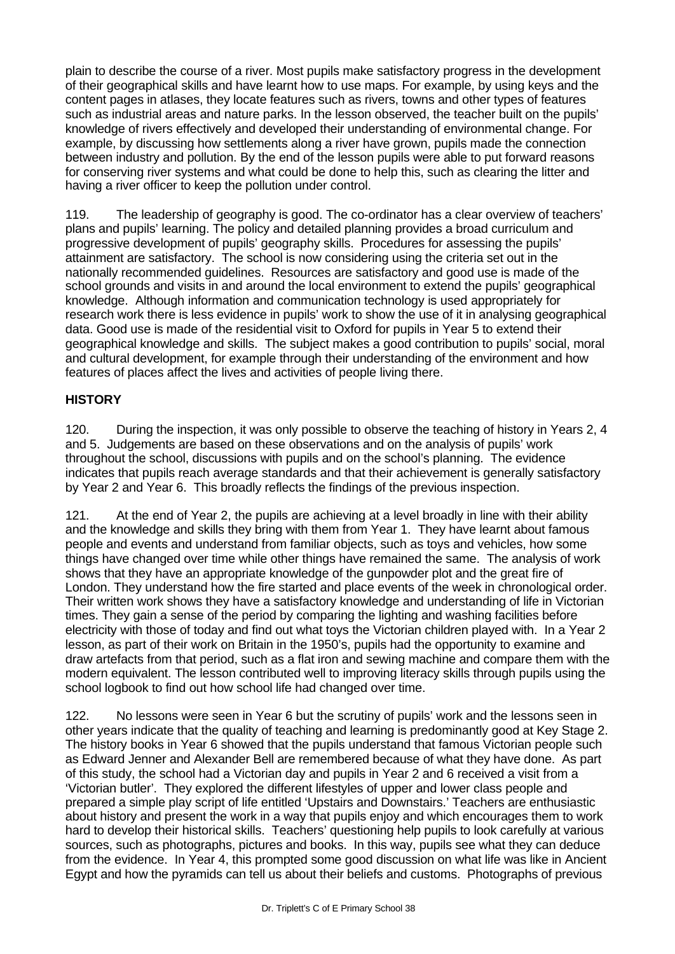plain to describe the course of a river. Most pupils make satisfactory progress in the development of their geographical skills and have learnt how to use maps. For example, by using keys and the content pages in atlases, they locate features such as rivers, towns and other types of features such as industrial areas and nature parks. In the lesson observed, the teacher built on the pupils' knowledge of rivers effectively and developed their understanding of environmental change. For example, by discussing how settlements along a river have grown, pupils made the connection between industry and pollution. By the end of the lesson pupils were able to put forward reasons for conserving river systems and what could be done to help this, such as clearing the litter and having a river officer to keep the pollution under control.

119. The leadership of geography is good. The co-ordinator has a clear overview of teachers' plans and pupils' learning. The policy and detailed planning provides a broad curriculum and progressive development of pupils' geography skills. Procedures for assessing the pupils' attainment are satisfactory. The school is now considering using the criteria set out in the nationally recommended guidelines. Resources are satisfactory and good use is made of the school grounds and visits in and around the local environment to extend the pupils' geographical knowledge. Although information and communication technology is used appropriately for research work there is less evidence in pupils' work to show the use of it in analysing geographical data. Good use is made of the residential visit to Oxford for pupils in Year 5 to extend their geographical knowledge and skills. The subject makes a good contribution to pupils' social, moral and cultural development, for example through their understanding of the environment and how features of places affect the lives and activities of people living there.

## **HISTORY**

120. During the inspection, it was only possible to observe the teaching of history in Years 2, 4 and 5. Judgements are based on these observations and on the analysis of pupils' work throughout the school, discussions with pupils and on the school's planning. The evidence indicates that pupils reach average standards and that their achievement is generally satisfactory by Year 2 and Year 6. This broadly reflects the findings of the previous inspection.

121. At the end of Year 2, the pupils are achieving at a level broadly in line with their ability and the knowledge and skills they bring with them from Year 1. They have learnt about famous people and events and understand from familiar objects, such as toys and vehicles, how some things have changed over time while other things have remained the same. The analysis of work shows that they have an appropriate knowledge of the gunpowder plot and the great fire of London. They understand how the fire started and place events of the week in chronological order. Their written work shows they have a satisfactory knowledge and understanding of life in Victorian times. They gain a sense of the period by comparing the lighting and washing facilities before electricity with those of today and find out what toys the Victorian children played with. In a Year 2 lesson, as part of their work on Britain in the 1950's, pupils had the opportunity to examine and draw artefacts from that period, such as a flat iron and sewing machine and compare them with the modern equivalent. The lesson contributed well to improving literacy skills through pupils using the school logbook to find out how school life had changed over time.

122. No lessons were seen in Year 6 but the scrutiny of pupils' work and the lessons seen in other years indicate that the quality of teaching and learning is predominantly good at Key Stage 2. The history books in Year 6 showed that the pupils understand that famous Victorian people such as Edward Jenner and Alexander Bell are remembered because of what they have done. As part of this study, the school had a Victorian day and pupils in Year 2 and 6 received a visit from a 'Victorian butler'. They explored the different lifestyles of upper and lower class people and prepared a simple play script of life entitled 'Upstairs and Downstairs.' Teachers are enthusiastic about history and present the work in a way that pupils enjoy and which encourages them to work hard to develop their historical skills. Teachers' questioning help pupils to look carefully at various sources, such as photographs, pictures and books. In this way, pupils see what they can deduce from the evidence. In Year 4, this prompted some good discussion on what life was like in Ancient Egypt and how the pyramids can tell us about their beliefs and customs. Photographs of previous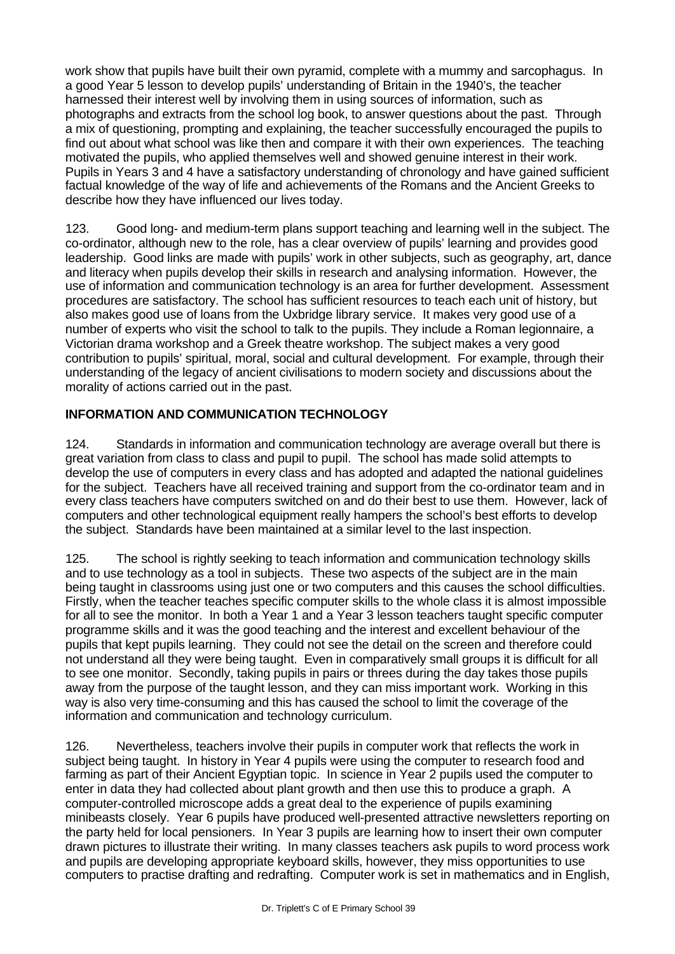work show that pupils have built their own pyramid, complete with a mummy and sarcophagus. In a good Year 5 lesson to develop pupils' understanding of Britain in the 1940's, the teacher harnessed their interest well by involving them in using sources of information, such as photographs and extracts from the school log book, to answer questions about the past. Through a mix of questioning, prompting and explaining, the teacher successfully encouraged the pupils to find out about what school was like then and compare it with their own experiences. The teaching motivated the pupils, who applied themselves well and showed genuine interest in their work. Pupils in Years 3 and 4 have a satisfactory understanding of chronology and have gained sufficient factual knowledge of the way of life and achievements of the Romans and the Ancient Greeks to describe how they have influenced our lives today.

123. Good long- and medium-term plans support teaching and learning well in the subject. The co-ordinator, although new to the role, has a clear overview of pupils' learning and provides good leadership. Good links are made with pupils' work in other subjects, such as geography, art, dance and literacy when pupils develop their skills in research and analysing information. However, the use of information and communication technology is an area for further development. Assessment procedures are satisfactory. The school has sufficient resources to teach each unit of history, but also makes good use of loans from the Uxbridge library service. It makes very good use of a number of experts who visit the school to talk to the pupils. They include a Roman legionnaire, a Victorian drama workshop and a Greek theatre workshop. The subject makes a very good contribution to pupils' spiritual, moral, social and cultural development. For example, through their understanding of the legacy of ancient civilisations to modern society and discussions about the morality of actions carried out in the past.

## **INFORMATION AND COMMUNICATION TECHNOLOGY**

124. Standards in information and communication technology are average overall but there is great variation from class to class and pupil to pupil. The school has made solid attempts to develop the use of computers in every class and has adopted and adapted the national guidelines for the subject. Teachers have all received training and support from the co-ordinator team and in every class teachers have computers switched on and do their best to use them. However, lack of computers and other technological equipment really hampers the school's best efforts to develop the subject. Standards have been maintained at a similar level to the last inspection.

125. The school is rightly seeking to teach information and communication technology skills and to use technology as a tool in subjects. These two aspects of the subject are in the main being taught in classrooms using just one or two computers and this causes the school difficulties. Firstly, when the teacher teaches specific computer skills to the whole class it is almost impossible for all to see the monitor. In both a Year 1 and a Year 3 lesson teachers taught specific computer programme skills and it was the good teaching and the interest and excellent behaviour of the pupils that kept pupils learning. They could not see the detail on the screen and therefore could not understand all they were being taught. Even in comparatively small groups it is difficult for all to see one monitor. Secondly, taking pupils in pairs or threes during the day takes those pupils away from the purpose of the taught lesson, and they can miss important work. Working in this way is also very time-consuming and this has caused the school to limit the coverage of the information and communication and technology curriculum.

126. Nevertheless, teachers involve their pupils in computer work that reflects the work in subject being taught. In history in Year 4 pupils were using the computer to research food and farming as part of their Ancient Egyptian topic. In science in Year 2 pupils used the computer to enter in data they had collected about plant growth and then use this to produce a graph. A computer-controlled microscope adds a great deal to the experience of pupils examining minibeasts closely. Year 6 pupils have produced well-presented attractive newsletters reporting on the party held for local pensioners. In Year 3 pupils are learning how to insert their own computer drawn pictures to illustrate their writing. In many classes teachers ask pupils to word process work and pupils are developing appropriate keyboard skills, however, they miss opportunities to use computers to practise drafting and redrafting. Computer work is set in mathematics and in English,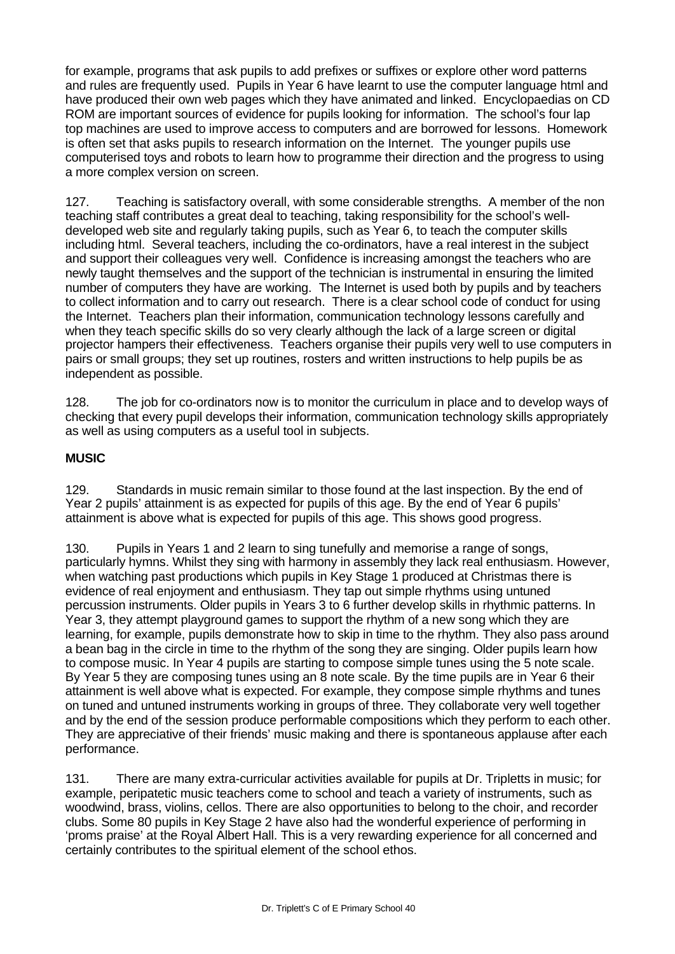for example, programs that ask pupils to add prefixes or suffixes or explore other word patterns and rules are frequently used. Pupils in Year 6 have learnt to use the computer language html and have produced their own web pages which they have animated and linked. Encyclopaedias on CD ROM are important sources of evidence for pupils looking for information. The school's four lap top machines are used to improve access to computers and are borrowed for lessons. Homework is often set that asks pupils to research information on the Internet. The younger pupils use computerised toys and robots to learn how to programme their direction and the progress to using a more complex version on screen.

127. Teaching is satisfactory overall, with some considerable strengths. A member of the non teaching staff contributes a great deal to teaching, taking responsibility for the school's welldeveloped web site and regularly taking pupils, such as Year 6, to teach the computer skills including html. Several teachers, including the co-ordinators, have a real interest in the subject and support their colleagues very well. Confidence is increasing amongst the teachers who are newly taught themselves and the support of the technician is instrumental in ensuring the limited number of computers they have are working. The Internet is used both by pupils and by teachers to collect information and to carry out research. There is a clear school code of conduct for using the Internet. Teachers plan their information, communication technology lessons carefully and when they teach specific skills do so very clearly although the lack of a large screen or digital projector hampers their effectiveness. Teachers organise their pupils very well to use computers in pairs or small groups; they set up routines, rosters and written instructions to help pupils be as independent as possible.

128. The job for co-ordinators now is to monitor the curriculum in place and to develop ways of checking that every pupil develops their information, communication technology skills appropriately as well as using computers as a useful tool in subjects.

## **MUSIC**

129. Standards in music remain similar to those found at the last inspection. By the end of Year 2 pupils' attainment is as expected for pupils of this age. By the end of Year 6 pupils' attainment is above what is expected for pupils of this age. This shows good progress.

130. Pupils in Years 1 and 2 learn to sing tunefully and memorise a range of songs, particularly hymns. Whilst they sing with harmony in assembly they lack real enthusiasm. However, when watching past productions which pupils in Key Stage 1 produced at Christmas there is evidence of real enjoyment and enthusiasm. They tap out simple rhythms using untuned percussion instruments. Older pupils in Years 3 to 6 further develop skills in rhythmic patterns. In Year 3, they attempt playground games to support the rhythm of a new song which they are learning, for example, pupils demonstrate how to skip in time to the rhythm. They also pass around a bean bag in the circle in time to the rhythm of the song they are singing. Older pupils learn how to compose music. In Year 4 pupils are starting to compose simple tunes using the 5 note scale. By Year 5 they are composing tunes using an 8 note scale. By the time pupils are in Year 6 their attainment is well above what is expected. For example, they compose simple rhythms and tunes on tuned and untuned instruments working in groups of three. They collaborate very well together and by the end of the session produce performable compositions which they perform to each other. They are appreciative of their friends' music making and there is spontaneous applause after each performance.

131. There are many extra-curricular activities available for pupils at Dr. Tripletts in music; for example, peripatetic music teachers come to school and teach a variety of instruments, such as woodwind, brass, violins, cellos. There are also opportunities to belong to the choir, and recorder clubs. Some 80 pupils in Key Stage 2 have also had the wonderful experience of performing in 'proms praise' at the Royal Albert Hall. This is a very rewarding experience for all concerned and certainly contributes to the spiritual element of the school ethos.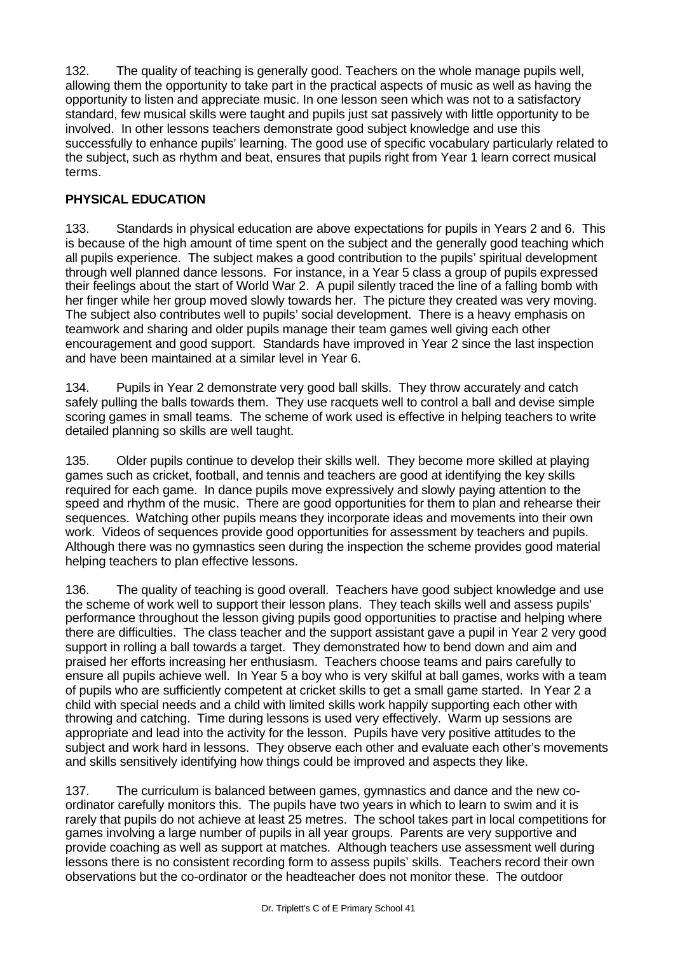132. The quality of teaching is generally good. Teachers on the whole manage pupils well, allowing them the opportunity to take part in the practical aspects of music as well as having the opportunity to listen and appreciate music. In one lesson seen which was not to a satisfactory standard, few musical skills were taught and pupils just sat passively with little opportunity to be involved. In other lessons teachers demonstrate good subject knowledge and use this successfully to enhance pupils' learning. The good use of specific vocabulary particularly related to the subject, such as rhythm and beat, ensures that pupils right from Year 1 learn correct musical terms.

#### **PHYSICAL EDUCATION**

133. Standards in physical education are above expectations for pupils in Years 2 and 6. This is because of the high amount of time spent on the subject and the generally good teaching which all pupils experience. The subject makes a good contribution to the pupils' spiritual development through well planned dance lessons. For instance, in a Year 5 class a group of pupils expressed their feelings about the start of World War 2. A pupil silently traced the line of a falling bomb with her finger while her group moved slowly towards her. The picture they created was very moving. The subject also contributes well to pupils' social development. There is a heavy emphasis on teamwork and sharing and older pupils manage their team games well giving each other encouragement and good support. Standards have improved in Year 2 since the last inspection and have been maintained at a similar level in Year 6.

134. Pupils in Year 2 demonstrate very good ball skills. They throw accurately and catch safely pulling the balls towards them. They use racquets well to control a ball and devise simple scoring games in small teams. The scheme of work used is effective in helping teachers to write detailed planning so skills are well taught.

135. Older pupils continue to develop their skills well. They become more skilled at playing games such as cricket, football, and tennis and teachers are good at identifying the key skills required for each game. In dance pupils move expressively and slowly paying attention to the speed and rhythm of the music. There are good opportunities for them to plan and rehearse their sequences. Watching other pupils means they incorporate ideas and movements into their own work. Videos of sequences provide good opportunities for assessment by teachers and pupils. Although there was no gymnastics seen during the inspection the scheme provides good material helping teachers to plan effective lessons.

136. The quality of teaching is good overall. Teachers have good subject knowledge and use the scheme of work well to support their lesson plans. They teach skills well and assess pupils' performance throughout the lesson giving pupils good opportunities to practise and helping where there are difficulties. The class teacher and the support assistant gave a pupil in Year 2 very good support in rolling a ball towards a target. They demonstrated how to bend down and aim and praised her efforts increasing her enthusiasm. Teachers choose teams and pairs carefully to ensure all pupils achieve well. In Year 5 a boy who is very skilful at ball games, works with a team of pupils who are sufficiently competent at cricket skills to get a small game started. In Year 2 a child with special needs and a child with limited skills work happily supporting each other with throwing and catching. Time during lessons is used very effectively. Warm up sessions are appropriate and lead into the activity for the lesson. Pupils have very positive attitudes to the subject and work hard in lessons. They observe each other and evaluate each other's movements and skills sensitively identifying how things could be improved and aspects they like.

137. The curriculum is balanced between games, gymnastics and dance and the new coordinator carefully monitors this. The pupils have two years in which to learn to swim and it is rarely that pupils do not achieve at least 25 metres. The school takes part in local competitions for games involving a large number of pupils in all year groups. Parents are very supportive and provide coaching as well as support at matches. Although teachers use assessment well during lessons there is no consistent recording form to assess pupils' skills. Teachers record their own observations but the co-ordinator or the headteacher does not monitor these. The outdoor